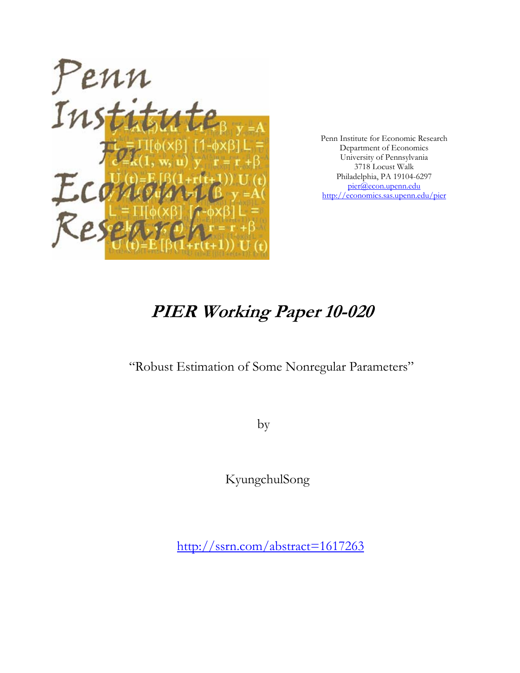

Penn Institute for Economic Research Department of Economics University of Pennsylvania 3718 Locust Walk Philadelphia, PA 19104-6297 pier@econ.upenn.edu http://economics.sas.upenn.edu/pier

# **PIER Working Paper 10-020**

"Robust Estimation of Some Nonregular Parameters"

by

KyungchulSong

http://ssrn.com/abstract=1617263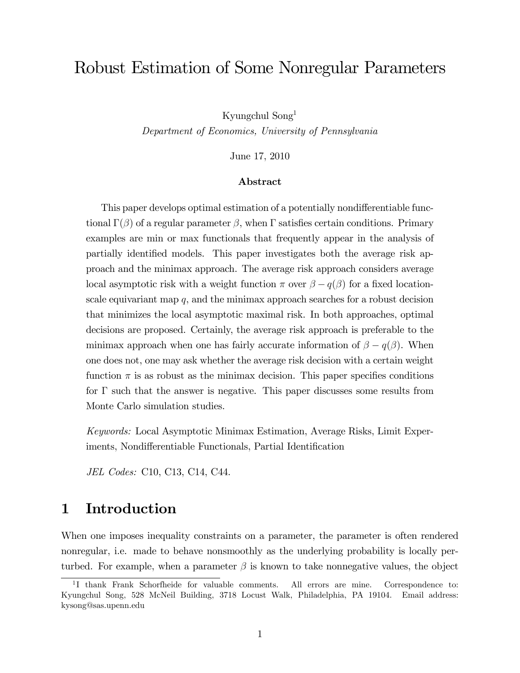# Robust Estimation of Some Nonregular Parameters

Kyungchul Song<sup>1</sup>

Department of Economics, University of Pennsylvania

June 17, 2010

#### Abstract

This paper develops optimal estimation of a potentially nondifferentiable functional  $\Gamma(\beta)$  of a regular parameter  $\beta$ , when  $\Gamma$  satisfies certain conditions. Primary examples are min or max functionals that frequently appear in the analysis of partially identified models. This paper investigates both the average risk approach and the minimax approach. The average risk approach considers average local asymptotic risk with a weight function  $\pi$  over  $\beta - q(\beta)$  for a fixed locationscale equivariant map  $q$ , and the minimax approach searches for a robust decision that minimizes the local asymptotic maximal risk. In both approaches, optimal decisions are proposed. Certainly, the average risk approach is preferable to the minimax approach when one has fairly accurate information of  $\beta - q(\beta)$ . When one does not, one may ask whether the average risk decision with a certain weight function  $\pi$  is as robust as the minimax decision. This paper specifies conditions for  $\Gamma$  such that the answer is negative. This paper discusses some results from Monte Carlo simulation studies.

Keywords: Local Asymptotic Minimax Estimation, Average Risks, Limit Experiments, Nondifferentiable Functionals, Partial Identification

JEL Codes: C10, C13, C14, C44.

## 1 Introduction

When one imposes inequality constraints on a parameter, the parameter is often rendered nonregular, i.e. made to behave nonsmoothly as the underlying probability is locally perturbed. For example, when a parameter  $\beta$  is known to take nonnegative values, the object

<sup>&</sup>lt;sup>1</sup>I thank Frank Schorfheide for valuable comments. All errors are mine. Correspondence to: Kyungchul Song, 528 McNeil Building, 3718 Locust Walk, Philadelphia, PA 19104. Email address: kysong@sas.upenn.edu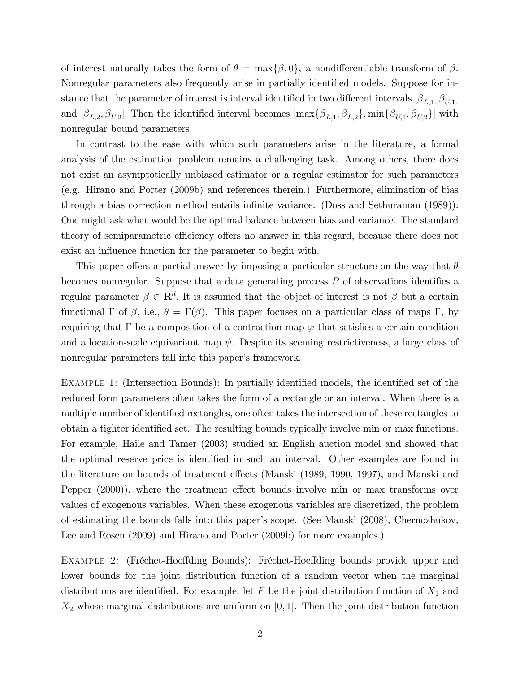of interest naturally takes the form of  $\theta = \max{\{\beta, 0\}}$ , a nondifferentiable transform of  $\beta$ . Nonregular parameters also frequently arise in partially identified models. Suppose for instance that the parameter of interest is interval identified in two different intervals  $[\beta_{L,1}, \beta_{U,1}]$ and  $[\beta_{L,2}, \beta_{U,2}]$ . Then the identified interval becomes  $[\max{\beta_{L,1}, \beta_{L,2}}], \min{\beta_{U,1}, \beta_{U,2}}]$  with nonregular bound parameters.

In contrast to the ease with which such parameters arise in the literature, a formal analysis of the estimation problem remains a challenging task. Among others, there does not exist an asymptotically unbiased estimator or a regular estimator for such parameters (e.g. Hirano and Porter (2009b) and references therein.) Furthermore, elimination of bias through a bias correction method entails infinite variance. (Doss and Sethuraman (1989)). One might ask what would be the optimal balance between bias and variance. The standard theory of semiparametric efficiency offers no answer in this regard, because there does not exist an influence function for the parameter to begin with.

This paper offers a partial answer by imposing a particular structure on the way that  $\theta$ becomes nonregular. Suppose that a data generating process  $P$  of observations identifies a regular parameter  $\beta \in \mathbf{R}^d$ . It is assumed that the object of interest is not  $\beta$  but a certain functional  $\Gamma$  of  $\beta$ , i.e.,  $\theta = \Gamma(\beta)$ . This paper focuses on a particular class of maps  $\Gamma$ , by requiring that  $\Gamma$  be a composition of a contraction map  $\varphi$  that satisfies a certain condition and a location-scale equivariant map  $\psi$ . Despite its seeming restrictiveness, a large class of nonregular parameters fall into this paper's framework.

EXAMPLE 1: (Intersection Bounds): In partially identified models, the identified set of the reduced form parameters often takes the form of a rectangle or an interval. When there is a multiple number of identified rectangles, one often takes the intersection of these rectangles to obtain a tighter identified set. The resulting bounds typically involve min or max functions. For example, Haile and Tamer (2003) studied an English auction model and showed that the optimal reserve price is identified in such an interval. Other examples are found in the literature on bounds of treatment effects (Manski (1989, 1990, 1997), and Manski and Pepper  $(2000)$ , where the treatment effect bounds involve min or max transforms over values of exogenous variables. When these exogenous variables are discretized, the problem of estimating the bounds falls into this paperís scope. (See Manski (2008), Chernozhukov, Lee and Rosen (2009) and Hirano and Porter (2009b) for more examples.)

EXAMPLE 2: (Fréchet-Hoeffding Bounds): Fréchet-Hoeffding bounds provide upper and lower bounds for the joint distribution function of a random vector when the marginal distributions are identified. For example, let F be the joint distribution function of  $X_1$  and  $X_2$  whose marginal distributions are uniform on [0,1]. Then the joint distribution function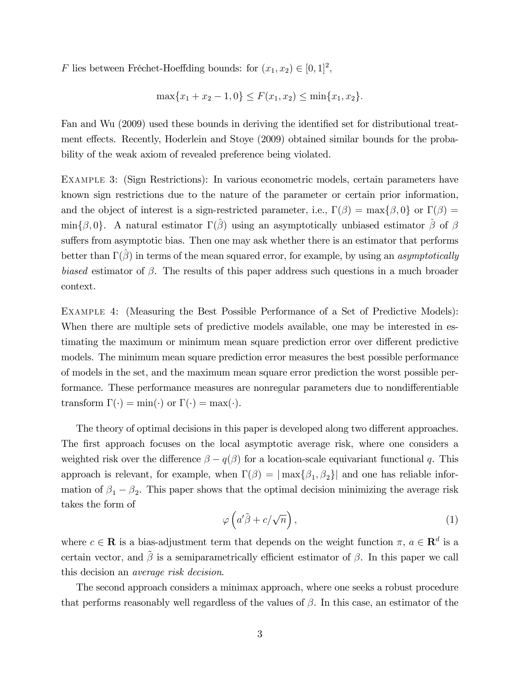F lies between Fréchet-Hoeffding bounds: for  $(x_1, x_2) \in [0, 1]^2$ ,

$$
\max\{x_1 + x_2 - 1, 0\} \le F(x_1, x_2) \le \min\{x_1, x_2\}.
$$

Fan and Wu (2009) used these bounds in deriving the identified set for distributional treatment effects. Recently, Hoderlein and Stoye (2009) obtained similar bounds for the probability of the weak axiom of revealed preference being violated.

Example 3: (Sign Restrictions): In various econometric models, certain parameters have known sign restrictions due to the nature of the parameter or certain prior information, and the object of interest is a sign-restricted parameter, i.e.,  $\Gamma(\beta) = \max\{\beta, 0\}$  or  $\Gamma(\beta) =$  $\min\{\beta,0\}$ . A natural estimator  $\Gamma(\hat{\beta})$  using an asymptotically unbiased estimator  $\hat{\beta}$  of  $\beta$ suffers from asymptotic bias. Then one may ask whether there is an estimator that performs better than  $\Gamma(\hat{\beta})$  in terms of the mean squared error, for example, by using an *asymptotically* biased estimator of  $\beta$ . The results of this paper address such questions in a much broader context.

Example 4: (Measuring the Best Possible Performance of a Set of Predictive Models): When there are multiple sets of predictive models available, one may be interested in estimating the maximum or minimum mean square prediction error over different predictive models. The minimum mean square prediction error measures the best possible performance of models in the set, and the maximum mean square error prediction the worst possible performance. These performance measures are nonregular parameters due to nondifferentiable transform  $\Gamma(\cdot) = \min(\cdot)$  or  $\Gamma(\cdot) = \max(\cdot)$ .

The theory of optimal decisions in this paper is developed along two different approaches. The first approach focuses on the local asymptotic average risk, where one considers a weighted risk over the difference  $\beta - q(\beta)$  for a location-scale equivariant functional q. This approach is relevant, for example, when  $\Gamma(\beta) = |\max{\beta_1, \beta_2}|$  and one has reliable information of  $\beta_1 - \beta_2$ . This paper shows that the optimal decision minimizing the average risk takes the form of

$$
\varphi\left(a'\tilde{\beta} + c/\sqrt{n}\right),\tag{1}
$$

where  $c \in \mathbf{R}$  is a bias-adjustment term that depends on the weight function  $\pi$ ,  $a \in \mathbf{R}^d$  is a certain vector, and  $\tilde{\beta}$  is a semiparametrically efficient estimator of  $\beta$ . In this paper we call this decision an average risk decision.

The second approach considers a minimax approach, where one seeks a robust procedure that performs reasonably well regardless of the values of  $\beta$ . In this case, an estimator of the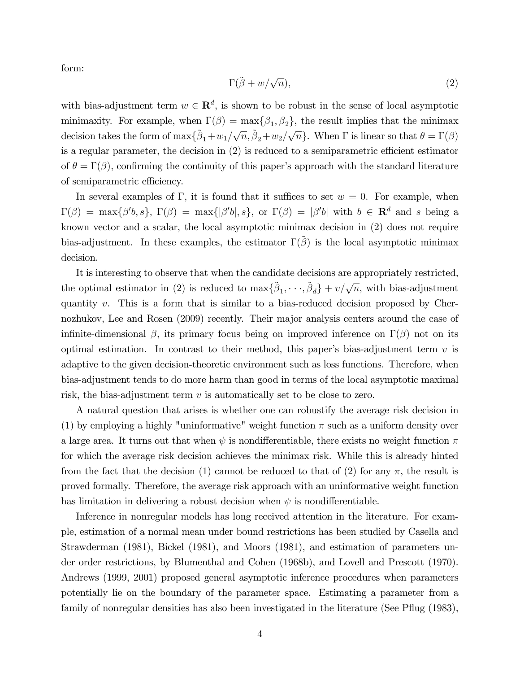form:

$$
\Gamma(\tilde{\beta} + w/\sqrt{n}),\tag{2}
$$

with bias-adjustment term  $w \in \mathbb{R}^d$ , is shown to be robust in the sense of local asymptotic minimaxity. For example, when  $\Gamma(\beta) = \max\{\beta_1, \beta_2\}$ , the result implies that the minimax decision takes the form of  $\max{\{\tilde{\beta}_1+w_1/\sqrt{n}, \tilde{\beta}_2+w_2/\sqrt{n}\}}$ . When  $\Gamma$  is linear so that  $\theta = \Gamma(\beta)$ is a regular parameter, the decision in  $(2)$  is reduced to a semiparametric efficient estimator of  $\theta = \Gamma(\beta)$ , confirming the continuity of this paper's approach with the standard literature of semiparametric efficiency.

In several examples of  $\Gamma$ , it is found that it suffices to set  $w = 0$ . For example, when  $\Gamma(\beta) = \max\{\beta'b, s\}, \Gamma(\beta) = \max\{|\beta'b|, s\}, \text{ or } \Gamma(\beta) = |\beta'b| \text{ with } b \in \mathbb{R}^d \text{ and } s \text{ being a }$ known vector and a scalar, the local asymptotic minimax decision in (2) does not require bias-adjustment. In these examples, the estimator  $\Gamma(\tilde{\beta})$  is the local asymptotic minimax decision.

It is interesting to observe that when the candidate decisions are appropriately restricted, the optimal estimator in (2) is reduced to  $\max{\{\tilde{\beta}_1,\dots,\tilde{\beta}_d\}}+v/\sqrt{n}$ , with bias-adjustment quantity v. This is a form that is similar to a bias-reduced decision proposed by Chernozhukov, Lee and Rosen (2009) recently. Their major analysis centers around the case of infinite-dimensional  $\beta$ , its primary focus being on improved inference on  $\Gamma(\beta)$  not on its optimal estimation. In contrast to their method, this paper's bias-adjustment term  $v$  is adaptive to the given decision-theoretic environment such as loss functions. Therefore, when bias-adjustment tends to do more harm than good in terms of the local asymptotic maximal risk, the bias-adjustment term  $v$  is automatically set to be close to zero.

A natural question that arises is whether one can robustify the average risk decision in (1) by employing a highly "uninformative" weight function  $\pi$  such as a uniform density over a large area. It turns out that when  $\psi$  is nondifferentiable, there exists no weight function  $\pi$ for which the average risk decision achieves the minimax risk. While this is already hinted from the fact that the decision (1) cannot be reduced to that of (2) for any  $\pi$ , the result is proved formally. Therefore, the average risk approach with an uninformative weight function has limitation in delivering a robust decision when  $\psi$  is nondifferentiable.

Inference in nonregular models has long received attention in the literature. For example, estimation of a normal mean under bound restrictions has been studied by Casella and Strawderman (1981), Bickel (1981), and Moors (1981), and estimation of parameters under order restrictions, by Blumenthal and Cohen (1968b), and Lovell and Prescott (1970). Andrews (1999, 2001) proposed general asymptotic inference procedures when parameters potentially lie on the boundary of the parameter space. Estimating a parameter from a family of nonregular densities has also been investigated in the literature (See Pflug (1983),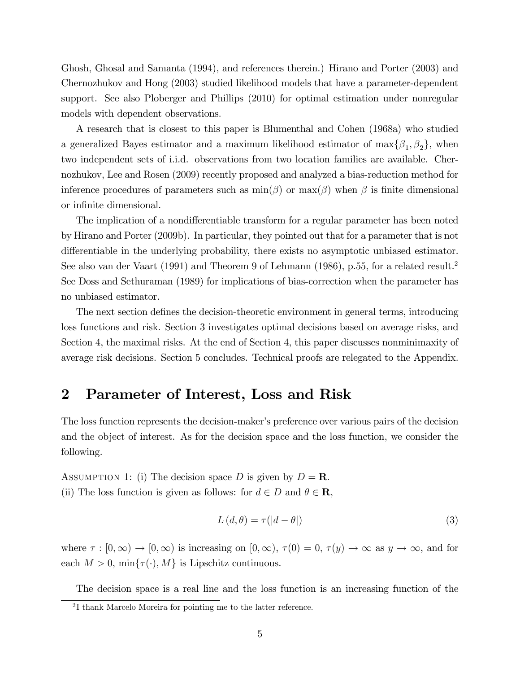Ghosh, Ghosal and Samanta (1994), and references therein.) Hirano and Porter (2003) and Chernozhukov and Hong (2003) studied likelihood models that have a parameter-dependent support. See also Ploberger and Phillips (2010) for optimal estimation under nonregular models with dependent observations.

A research that is closest to this paper is Blumenthal and Cohen (1968a) who studied a generalized Bayes estimator and a maximum likelihood estimator of  $\max\{\beta_1,\beta_2\}$ , when two independent sets of i.i.d. observations from two location families are available. Chernozhukov, Lee and Rosen (2009) recently proposed and analyzed a bias-reduction method for inference procedures of parameters such as  $min(\beta)$  or  $max(\beta)$  when  $\beta$  is finite dimensional or infinite dimensional.

The implication of a nondifferentiable transform for a regular parameter has been noted by Hirano and Porter (2009b). In particular, they pointed out that for a parameter that is not differentiable in the underlying probability, there exists no asymptotic unbiased estimator. See also van der Vaart (1991) and Theorem 9 of Lehmann (1986), p.55, for a related result.<sup>2</sup> See Doss and Sethuraman (1989) for implications of bias-correction when the parameter has no unbiased estimator.

The next section defines the decision-theoretic environment in general terms, introducing loss functions and risk. Section 3 investigates optimal decisions based on average risks, and Section 4, the maximal risks. At the end of Section 4, this paper discusses nonminimaxity of average risk decisions. Section 5 concludes. Technical proofs are relegated to the Appendix.

### 2 Parameter of Interest, Loss and Risk

The loss function represents the decision-maker's preference over various pairs of the decision and the object of interest. As for the decision space and the loss function, we consider the following.

ASSUMPTION 1: (i) The decision space D is given by  $D = \mathbf{R}$ . (ii) The loss function is given as follows: for  $d \in D$  and  $\theta \in \mathbb{R}$ ,

$$
L(d, \theta) = \tau(|d - \theta|)
$$
\n(3)

where  $\tau : [0,\infty) \to [0,\infty)$  is increasing on  $[0,\infty)$ ,  $\tau(0) = 0$ ,  $\tau(y) \to \infty$  as  $y \to \infty$ , and for each  $M > 0$ , min $\{\tau(\cdot), M\}$  is Lipschitz continuous.

The decision space is a real line and the loss function is an increasing function of the

<sup>2</sup> I thank Marcelo Moreira for pointing me to the latter reference.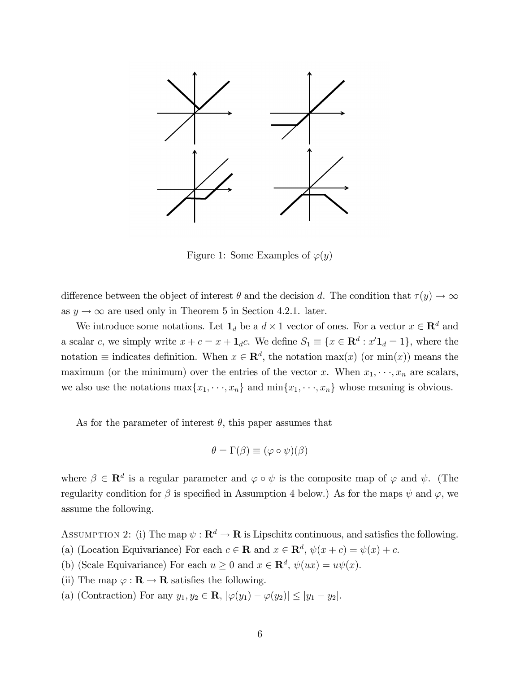

Figure 1: Some Examples of  $\varphi(y)$ 

difference between the object of interest  $\theta$  and the decision d. The condition that  $\tau(y) \to \infty$ as  $y \rightarrow \infty$  are used only in Theorem 5 in Section 4.2.1. later.

We introduce some notations. Let  $\mathbf{1}_d$  be a  $d \times 1$  vector of ones. For a vector  $x \in \mathbb{R}^d$  and a scalar c, we simply write  $x + c = x + \mathbf{1}_d c$ . We define  $S_1 \equiv \{x \in \mathbb{R}^d : x' \mathbf{1}_d = 1\}$ , where the notation  $\equiv$  indicates definition. When  $x \in \mathbb{R}^d$ , the notation  $\max(x)$  (or  $\min(x)$ ) means the maximum (or the minimum) over the entries of the vector x. When  $x_1, \dots, x_n$  are scalars, we also use the notations  $\max\{x_1, \dots, x_n\}$  and  $\min\{x_1, \dots, x_n\}$  whose meaning is obvious.

As for the parameter of interest  $\theta$ , this paper assumes that

$$
\theta = \Gamma(\beta) \equiv (\varphi \circ \psi)(\beta)
$$

where  $\beta \in \mathbf{R}^d$  is a regular parameter and  $\varphi \circ \psi$  is the composite map of  $\varphi$  and  $\psi$ . (The regularity condition for  $\beta$  is specified in Assumption 4 below.) As for the maps  $\psi$  and  $\varphi$ , we assume the following.

ASSUMPTION 2: (i) The map  $\psi : \mathbf{R}^d \to \mathbf{R}$  is Lipschitz continuous, and satisfies the following.

- (a) (Location Equivariance) For each  $c \in \mathbf{R}$  and  $x \in \mathbf{R}^d$ ,  $\psi(x+c) = \psi(x) + c$ .
- (b) (Scale Equivariance) For each  $u \ge 0$  and  $x \in \mathbb{R}^d$ ,  $\psi(ux) = u\psi(x)$ .
- (ii) The map  $\varphi : \mathbf{R} \to \mathbf{R}$  satisfies the following.
- (a) (Contraction) For any  $y_1, y_2 \in \mathbf{R}$ ,  $|\varphi(y_1) \varphi(y_2)| \leq |y_1 y_2|$ .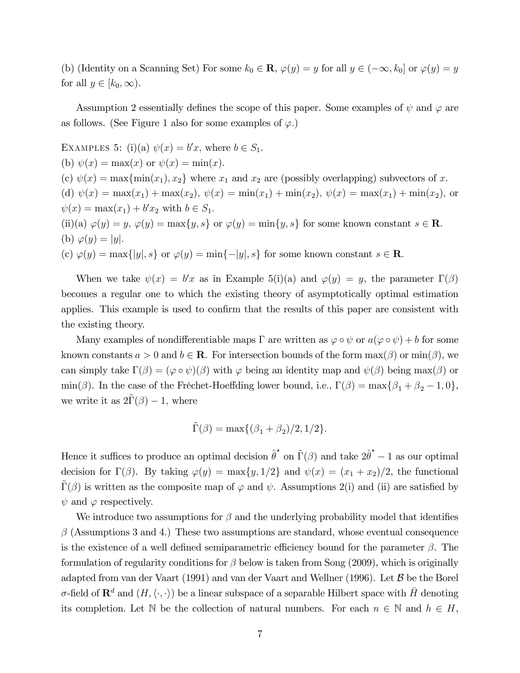(b) (Identity on a Scanning Set) For some  $k_0 \in \mathbf{R}$ ,  $\varphi(y) = y$  for all  $y \in (-\infty, k_0]$  or  $\varphi(y) = y$ for all  $y \in [k_0,\infty)$ .

Assumption 2 essentially defines the scope of this paper. Some examples of  $\psi$  and  $\varphi$  are as follows. (See Figure 1 also for some examples of  $\varphi$ .)

EXAMPLES 5: (i)(a)  $\psi(x) = b'x$ , where  $b \in S_1$ . (b)  $\psi(x) = \max(x)$  or  $\psi(x) = \min(x)$ . (c)  $\psi(x) = \max{\min(x_1), x_2}$  where  $x_1$  and  $x_2$  are (possibly overlapping) subvectors of x. (d)  $\psi(x) = \max(x_1) + \max(x_2), \psi(x) = \min(x_1) + \min(x_2), \psi(x) = \max(x_1) + \min(x_2)$ , or  $\psi(x) = \max(x_1) + b'x_2$  with  $b \in S_1$ . (ii)(a)  $\varphi(y) = y, \varphi(y) = \max\{y, s\}$  or  $\varphi(y) = \min\{y, s\}$  for some known constant  $s \in \mathbb{R}$ . (b)  $\varphi(y) = |y|$ . (c)  $\varphi(y) = \max\{|y|, s\}$  or  $\varphi(y) = \min\{-|y|, s\}$  for some known constant  $s \in \mathbb{R}$ .

When we take  $\psi(x) = b'x$  as in Example 5(i)(a) and  $\varphi(y) = y$ , the parameter  $\Gamma(\beta)$ becomes a regular one to which the existing theory of asymptotically optimal estimation applies. This example is used to confirm that the results of this paper are consistent with the existing theory.

Many examples of nondifferentiable maps  $\Gamma$  are written as  $\varphi \circ \psi$  or  $a(\varphi \circ \psi) + b$  for some known constants  $a > 0$  and  $b \in \mathbb{R}$ . For intersection bounds of the form  $\max(\beta)$  or  $\min(\beta)$ , we can simply take  $\Gamma(\beta) = (\varphi \circ \psi)(\beta)$  with  $\varphi$  being an identity map and  $\psi(\beta)$  being max( $\beta$ ) or min( $\beta$ ). In the case of the Fréchet-Hoeffding lower bound, i.e.,  $\Gamma(\beta) = \max\{\beta_1 + \beta_2 - 1, 0\},\$ we write it as  $2\tilde{\Gamma}(\beta) - 1$ , where

$$
\tilde{\Gamma}(\beta) = \max\{(\beta_1 + \beta_2)/2, 1/2\}.
$$

Hence it suffices to produce an optimal decision  $\hat{\theta}^*$  on  $\tilde{\Gamma}(\beta)$  and take  $2\hat{\theta}^* - 1$  as our optimal decision for  $\Gamma(\beta)$ . By taking  $\varphi(y) = \max\{y, 1/2\}$  and  $\psi(x) = (x_1 + x_2)/2$ , the functional  $\Gamma(\beta)$  is written as the composite map of  $\varphi$  and  $\psi$ . Assumptions 2(i) and (ii) are satisfied by  $\psi$  and  $\varphi$  respectively.

We introduce two assumptions for  $\beta$  and the underlying probability model that identifies  $\beta$  (Assumptions 3 and 4.) These two assumptions are standard, whose eventual consequence is the existence of a well defined semiparametric efficiency bound for the parameter  $\beta$ . The formulation of regularity conditions for  $\beta$  below is taken from Song (2009), which is originally adapted from van der Vaart (1991) and van der Vaart and Wellner (1996). Let B be the Borel  $\sigma$ -field of  $\mathbf{R}^d$  and  $(H, \langle \cdot, \cdot \rangle)$  be a linear subspace of a separable Hilbert space with  $\bar{H}$  denoting its completion. Let N be the collection of natural numbers. For each  $n \in \mathbb{N}$  and  $h \in H$ ,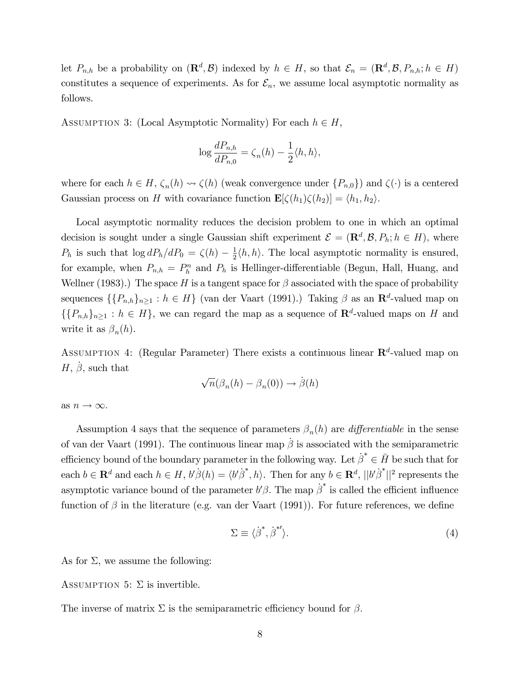let  $P_{n,h}$  be a probability on  $(\mathbf{R}^d, \mathcal{B})$  indexed by  $h \in H$ , so that  $\mathcal{E}_n = (\mathbf{R}^d, \mathcal{B}, P_{n,h}; h \in H)$ constitutes a sequence of experiments. As for  $\mathcal{E}_n$ , we assume local asymptotic normality as follows.

ASSUMPTION 3: (Local Asymptotic Normality) For each  $h \in H$ ,

$$
\log \frac{dP_{n,h}}{dP_{n,0}} = \zeta_n(h) - \frac{1}{2} \langle h, h \rangle,
$$

where for each  $h \in H$ ,  $\zeta_n(h) \rightsquigarrow \zeta(h)$  (weak convergence under  $\{P_{n,0}\}\)$  and  $\zeta(\cdot)$  is a centered Gaussian process on H with covariance function  $\mathbf{E}[\zeta(h_1)\zeta(h_2)] = \langle h_1, h_2 \rangle$ .

Local asymptotic normality reduces the decision problem to one in which an optimal decision is sought under a single Gaussian shift experiment  $\mathcal{E} = (\mathbf{R}^d, \mathcal{B}, P_h; h \in H)$ , where  $P_h$  is such that  $\log dP_h/dP_0 = \zeta(h) - \frac{1}{2}$  $\frac{1}{2}\langle h, h \rangle$ . The local asymptotic normality is ensured, for example, when  $P_{n,h} = P_h^n$  and  $P_h$  is Hellinger-differentiable (Begun, Hall, Huang, and Wellner (1983).) The space H is a tangent space for  $\beta$  associated with the space of probability sequences  $\{\{P_{n,h}\}_{n\geq 1} : h \in H\}$  (van der Vaart (1991).) Taking  $\beta$  as an  $\mathbb{R}^d$ -valued map on  $\{\{P_{n,h}\}_{n\geq 1} : h \in H\}$ , we can regard the map as a sequence of  $\mathbb{R}^d$ -valued maps on H and write it as  $\beta_n(h)$ .

ASSUMPTION 4: (Regular Parameter) There exists a continuous linear  $\mathbb{R}^d$ -valued map on  $H, \dot{\beta}$ , such that

$$
\sqrt{n}(\beta_n(h) - \beta_n(0)) \to \dot{\beta}(h)
$$

as  $n \to \infty$ .

Assumption 4 says that the sequence of parameters  $\beta_n(h)$  are *differentiable* in the sense of van der Vaart (1991). The continuous linear map  $\dot{\beta}$  is associated with the semiparametric efficiency bound of the boundary parameter in the following way. Let  $\beta^* \in \overline{H}$  be such that for each  $b \in \mathbf{R}^d$  and each  $h \in H$ ,  $b'\beta(h) = \langle b'\beta^*, h \rangle$ . Then for any  $b \in \mathbf{R}^d$ ,  $||b'\beta^*||^2$  represents the asymptotic variance bound of the parameter  $b'\beta$ . The map  $\dot{\beta}^*$  is called the efficient influence function of  $\beta$  in the literature (e.g. van der Vaart (1991)). For future references, we define

$$
\Sigma \equiv \langle \dot{\beta}^*, \dot{\beta}^{*\prime} \rangle. \tag{4}
$$

As for  $\Sigma$ , we assume the following:

ASSUMPTION 5:  $\Sigma$  is invertible.

The inverse of matrix  $\Sigma$  is the semiparametric efficiency bound for  $\beta$ .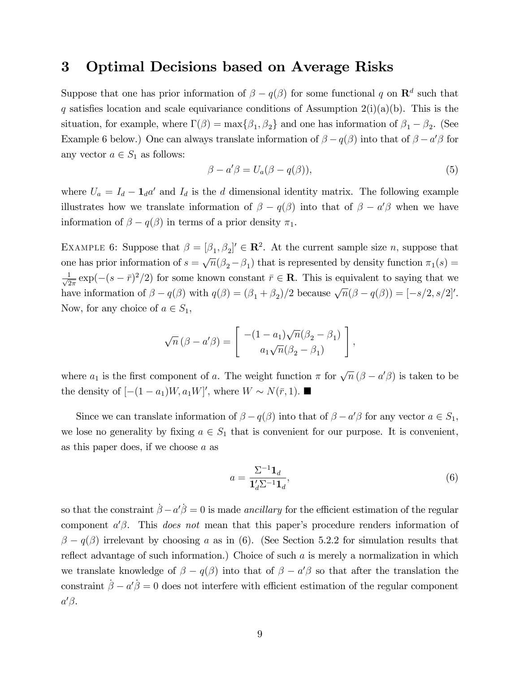### 3 Optimal Decisions based on Average Risks

Suppose that one has prior information of  $\beta - q(\beta)$  for some functional q on  $\mathbb{R}^d$  such that q satisfies location and scale equivariance conditions of Assumption 2(i)(a)(b). This is the situation, for example, where  $\Gamma(\beta) = \max\{\beta_1, \beta_2\}$  and one has information of  $\beta_1 - \beta_2$ . (See Example 6 below.) One can always translate information of  $\beta - q(\beta)$  into that of  $\beta - a'\beta$  for any vector  $a \in S_1$  as follows:

$$
\beta - a'\beta = U_a(\beta - q(\beta)),\tag{5}
$$

where  $U_a = I_d - \mathbf{1}_d a'$  and  $I_d$  is the d dimensional identity matrix. The following example illustrates how we translate information of  $\beta - q(\beta)$  into that of  $\beta - a'\beta$  when we have information of  $\beta - q(\beta)$  in terms of a prior density  $\pi_1$ .

EXAMPLE 6: Suppose that  $\beta = [\beta_1, \beta_2]' \in \mathbb{R}^2$ . At the current sample size *n*, suppose that one has prior information of  $s = \sqrt{n}(\beta_2 - \beta_1)$  that is represented by density function  $\pi_1(s) =$  $\frac{1}{\sqrt{2}}$  $\frac{1}{2\pi} \exp(-(s-\bar{r})^2/2)$  for some known constant  $\bar{r} \in \mathbf{R}$ . This is equivalent to saying that we have information of  $\beta - q(\beta)$  with  $q(\beta) = (\beta_1 + \beta_2)/2$  because  $\sqrt{n}(\beta - q(\beta)) = [-s/2, s/2]'.$ Now, for any choice of  $a \in S_1$ ,

$$
\sqrt{n}(\beta - a'\beta) = \begin{bmatrix} -(1 - a_1)\sqrt{n}(\beta_2 - \beta_1) \\ a_1\sqrt{n}(\beta_2 - \beta_1) \end{bmatrix},
$$

where  $a_1$  is the first component of a. The weight function  $\pi$  for  $\sqrt{n} (\beta - a'\beta)$  is taken to be the density of  $[-(1 - a_1)W, a_1W]'$ , where  $W \sim N(\bar{r}, 1)$ .

Since we can translate information of  $\beta - q(\beta)$  into that of  $\beta - a'\beta$  for any vector  $a \in S_1$ , we lose no generality by fixing  $a \in S_1$  that is convenient for our purpose. It is convenient, as this paper does, if we choose a as

$$
a = \frac{\Sigma^{-1} \mathbf{1}_d}{\mathbf{1}_d' \Sigma^{-1} \mathbf{1}_d},\tag{6}
$$

so that the constraint  $\beta - a'\dot{\beta} = 0$  is made *ancillary* for the efficient estimation of the regular component  $a'\beta$ . This *does not* mean that this paper's procedure renders information of  $\beta - q(\beta)$  irrelevant by choosing a as in (6). (See Section 5.2.2 for simulation results that reflect advantage of such information.) Choice of such  $a$  is merely a normalization in which we translate knowledge of  $\beta - q(\beta)$  into that of  $\beta - a'\beta$  so that after the translation the constraint  $\dot{\beta} - a'\dot{\beta} = 0$  does not interfere with efficient estimation of the regular component  $a'\beta.$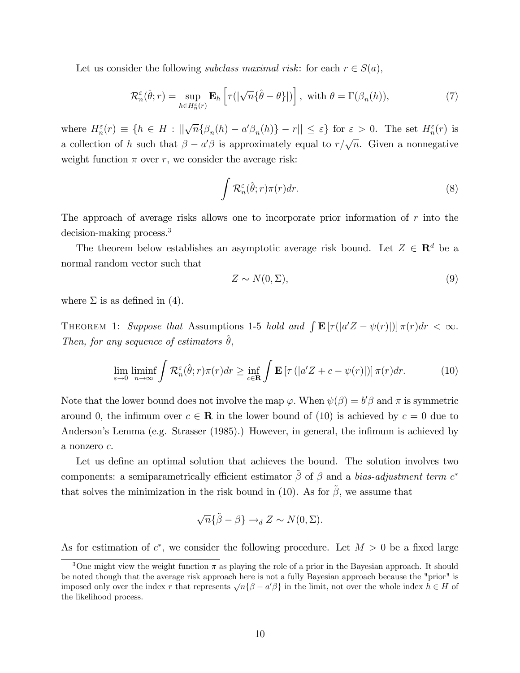Let us consider the following *subclass maximal risk*: for each  $r \in S(a)$ ,

$$
\mathcal{R}_n^{\varepsilon}(\hat{\theta};r) = \sup_{h \in H_n^{\varepsilon}(r)} \mathbf{E}_h \left[ \tau(|\sqrt{n} \{\hat{\theta} - \theta\}|) \right], \text{ with } \theta = \Gamma(\beta_n(h)), \tag{7}
$$

where  $H_n^{\varepsilon}(r) \equiv \{ h \in H : ||\sqrt{n} \{ \beta_n(h) - a' \beta_n(h) \} - r|| \leq \varepsilon \}$  for  $\varepsilon > 0$ . The set  $H_n^{\varepsilon}(r)$  is a collection of h such that  $\beta - a'\beta$  is approximately equal to  $r/\sqrt{n}$ . Given a nonnegative weight function  $\pi$  over r, we consider the average risk:

$$
\int \mathcal{R}_n^{\varepsilon}(\hat{\theta};r)\pi(r)dr.
$$
 (8)

The approach of average risks allows one to incorporate prior information of  $r$  into the decision-making process.<sup>3</sup>

The theorem below establishes an asymptotic average risk bound. Let  $Z \in \mathbb{R}^d$  be a normal random vector such that

$$
Z \sim N(0, \Sigma),\tag{9}
$$

where  $\Sigma$  is as defined in (4).

THEOREM 1: Suppose that Assumptions 1-5 hold and  $\int \mathbf{E} [\tau(|a'Z - \psi(r)|)] \pi(r) dr < \infty$ . Then, for any sequence of estimators  $\hat{\theta}$ ,

$$
\lim_{\varepsilon \to 0} \liminf_{n \to \infty} \int \mathcal{R}_n^{\varepsilon}(\hat{\theta}; r) \pi(r) dr \ge \inf_{c \in \mathbf{R}} \int \mathbf{E} \left[ \tau \left( |a'Z + c - \psi(r)| \right) \right] \pi(r) dr. \tag{10}
$$

Note that the lower bound does not involve the map  $\varphi$ . When  $\psi(\beta) = b'\beta$  and  $\pi$  is symmetric around 0, the infimum over  $c \in \mathbf{R}$  in the lower bound of (10) is achieved by  $c = 0$  due to Anderson's Lemma (e.g. Strasser (1985).) However, in general, the infimum is achieved by a nonzero c.

Let us define an optimal solution that achieves the bound. The solution involves two components: a semiparametrically efficient estimator  $\tilde{\beta}$  of  $\beta$  and a bias-adjustment term  $c^*$ that solves the minimization in the risk bound in (10). As for  $\tilde{\beta}$ , we assume that

$$
\sqrt{n}\{\tilde{\beta} - \beta\} \to_d Z \sim N(0, \Sigma).
$$

As for estimation of  $c^*$ , we consider the following procedure. Let  $M > 0$  be a fixed large

<sup>&</sup>lt;sup>3</sup>One might view the weight function  $\pi$  as playing the role of a prior in the Bayesian approach. It should be noted though that the average risk approach here is not a fully Bayesian approach because the "prior" is imposed only over the index r that represents  $\sqrt{n} {\{\beta - a'\beta\}}$  in the limit, not over the whole index  $h \in H$  of the likelihood process.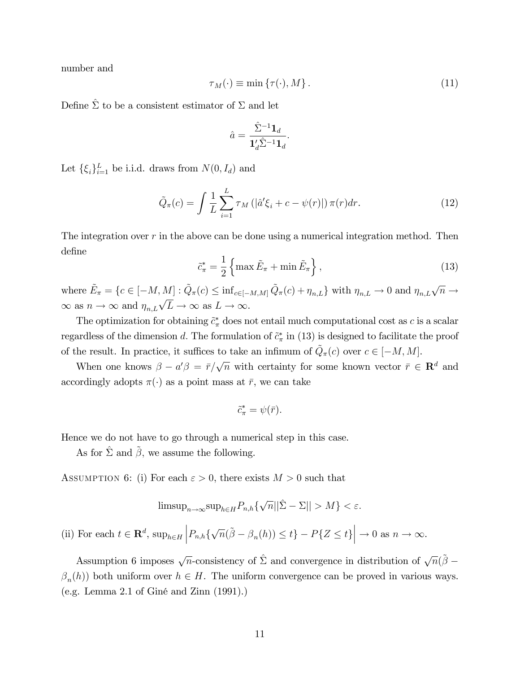number and

$$
\tau_M(\cdot) \equiv \min \{ \tau(\cdot), M \} \,. \tag{11}
$$

Define  $\hat{\Sigma}$  to be a consistent estimator of  $\Sigma$  and let

$$
\hat{a} = \frac{\hat{\Sigma}^{-1} \mathbf{1}_d}{\mathbf{1}_d' \hat{\Sigma}^{-1} \mathbf{1}_d}.
$$

Let  $\{\xi_i\}_{i=1}^L$  be i.i.d. draws from  $N(0, I_d)$  and

$$
\tilde{Q}_{\pi}(c) = \int \frac{1}{L} \sum_{i=1}^{L} \tau_M \left( \left| \hat{a}' \xi_i + c - \psi(r) \right| \right) \pi(r) dr. \tag{12}
$$

The integration over  $r$  in the above can be done using a numerical integration method. Then define

$$
\tilde{c}_{\pi}^* = \frac{1}{2} \left\{ \max \tilde{E}_{\pi} + \min \tilde{E}_{\pi} \right\},\tag{13}
$$

where  $\tilde{E}_{\pi} = \{c \in [-M, M] : \tilde{Q}_{\pi}(c) \leq \inf_{c \in [-M, M]} \tilde{Q}_{\pi}(c) + \eta_{n,L} \}$  with  $\eta_{n,L} \to 0$  and  $\eta_{n,L} \sqrt{n} \to$  $\infty$  as  $n \to \infty$  and  $\eta_{n,L}\sqrt{L} \to \infty$  as  $L \to \infty$ .

The optimization for obtaining  $\tilde{c}^*_{\pi}$  does not entail much computational cost as c is a scalar regardless of the dimension d. The formulation of  $\tilde{c}^*_{\pi}$  in (13) is designed to facilitate the proof of the result. In practice, it suffices to take an infimum of  $\tilde{Q}_{\pi}(c)$  over  $c \in [-M, M]$ .

When one knows  $\beta - a'\beta = \bar{r}/\sqrt{n}$  with certainty for some known vector  $\bar{r} \in \mathbb{R}^d$  and accordingly adopts  $\pi(\cdot)$  as a point mass at  $\bar{r}$ , we can take

$$
\tilde{c}^*_{\pi} = \psi(\bar{r}).
$$

Hence we do not have to go through a numerical step in this case.

As for  $\hat{\Sigma}$  and  $\tilde{\beta}$ , we assume the following.

ASSUMPTION 6: (i) For each  $\varepsilon > 0$ , there exists  $M > 0$  such that

$$
\text{limsup}_{n\to\infty} \text{sup}_{h\in H} P_{n,h}\{\sqrt{n}||\hat{\Sigma} - \Sigma|| > M\} < \varepsilon.
$$

(ii) For each  $t \in \mathbf{R}^d$ ,  $\sup_{h \in H} \left| P_{n,h} \{ \sqrt{n}(\tilde{\beta} - \beta_n(h)) \leq t \} - P\{ Z \leq t \} \right| \to 0$  as  $n \to \infty$ .

Assumption 6 imposes  $\sqrt{n}$ -consistency of  $\hat{\Sigma}$  and convergence in distribution of  $\sqrt{n}(\tilde{\beta} - \tilde{\beta})$  $\beta_n(h)$ ) both uniform over  $h \in H$ . The uniform convergence can be proved in various ways. (e.g. Lemma 2.1 of GinÈ and Zinn (1991).)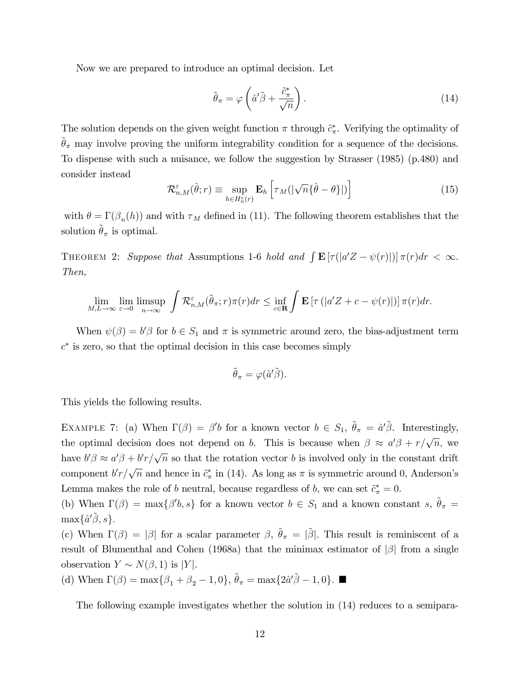Now we are prepared to introduce an optimal decision. Let

$$
\tilde{\theta}_{\pi} = \varphi \left( \hat{a}' \tilde{\beta} + \frac{\tilde{c}_{\pi}^{*}}{\sqrt{n}} \right). \tag{14}
$$

The solution depends on the given weight function  $\pi$  through  $\tilde{c}^*_{\pi}$ . Verifying the optimality of  $\tilde{\theta}_{\pi}$  may involve proving the uniform integrability condition for a sequence of the decisions. To dispense with such a nuisance, we follow the suggestion by Strasser (1985) (p.480) and consider instead

$$
\mathcal{R}_{n,M}^{\varepsilon}(\hat{\theta};r) \equiv \sup_{h \in H_n^{\varepsilon}(r)} \mathbf{E}_h \left[ \tau_M(|\sqrt{n} \{\hat{\theta} - \theta\}|) \right] \tag{15}
$$

with  $\theta = \Gamma(\beta_n(h))$  and with  $\tau_M$  defined in (11). The following theorem establishes that the solution  $\tilde{\theta}_{\pi}$  is optimal.

THEOREM 2: Suppose that Assumptions 1-6 hold and  $\int \mathbf{E} [\tau(|a'Z - \psi(r)|)] \pi(r) dr < \infty$ . Then,

$$
\lim_{M,L\to\infty}\lim_{\varepsilon\to 0}\limsup_{n\to\infty}\int\mathcal{R}_{n,M}^{\varepsilon}(\tilde{\theta}_{\pi};r)\pi(r)dr\leq \inf_{c\in\mathbf{R}}\int\mathbf{E}\left[\tau\left(|a'Z+c-\psi(r)|\right)\right]\pi(r)dr.
$$

When  $\psi(\beta) = b'\beta$  for  $b \in S_1$  and  $\pi$  is symmetric around zero, the bias-adjustment term  $c^*$  is zero, so that the optimal decision in this case becomes simply

$$
\tilde{\theta}_{\pi} = \varphi(\hat{a}'\tilde{\beta}).
$$

This yields the following results.

EXAMPLE 7: (a) When  $\Gamma(\beta) = \beta' b$  for a known vector  $b \in S_1$ ,  $\tilde{\theta}_\pi = \hat{a}' \tilde{\beta}$ . Interestingly, the optimal decision does not depend on b. This is because when  $\beta \approx a' \beta + r/\sqrt{n}$ , we have  $b'\beta \approx a'\beta + b'r/\sqrt{n}$  so that the rotation vector b is involved only in the constant drift component  $b'r/\sqrt{n}$  and hence in  $\tilde{c}^*_{\pi}$  in (14). As long as  $\pi$  is symmetric around 0, Anderson's Lemma makes the role of b neutral, because regardless of b, we can set  $\tilde{c}^*_{\pi} = 0$ .

(b) When  $\Gamma(\beta) = \max\{\beta' b, s\}$  for a known vector  $b \in S_1$  and a known constant s,  $\tilde{\theta}_{\pi} =$  $\max\{\hat{a}'\tilde{\beta},s\}.$ 

(c) When  $\Gamma(\beta) = |\beta|$  for a scalar parameter  $\beta$ ,  $\tilde{\theta}_{\pi} = |\tilde{\beta}|$ . This result is reminiscent of a result of Blumenthal and Cohen (1968a) that the minimax estimator of  $|\beta|$  from a single observation  $Y \sim N(\beta, 1)$  is |Y|.

(d) When  $\Gamma(\beta) = \max\{\beta_1 + \beta_2 - 1, 0\}, \tilde{\theta}_\pi = \max\{2\hat{a}'\tilde{\beta} - 1, 0\}.$ 

The following example investigates whether the solution in (14) reduces to a semipara-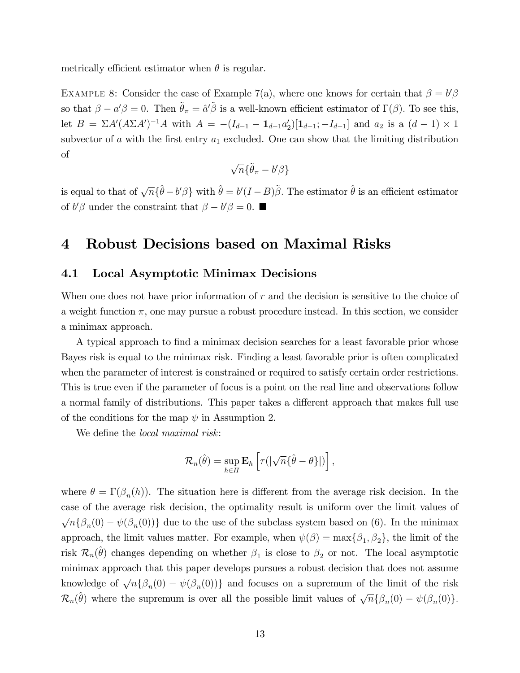metrically efficient estimator when  $\theta$  is regular.

EXAMPLE 8: Consider the case of Example 7(a), where one knows for certain that  $\beta = b'\beta$ so that  $\beta - a'\beta = 0$ . Then  $\tilde{\theta}_{\pi} = \hat{a}'\tilde{\beta}$  is a well-known efficient estimator of  $\Gamma(\beta)$ . To see this, let  $B = \sum A'(A \sum A')^{-1}A$  with  $A = -(I_{d-1} - \mathbf{1}_{d-1}a'_2)[\mathbf{1}_{d-1}; -I_{d-1}]$  and  $a_2$  is a  $(d-1) \times 1$ subvector of  $a$  with the first entry  $a_1$  excluded. One can show that the limiting distribution of

$$
\sqrt{n}\{\tilde{\theta}_{\pi}-b'\beta\}
$$

is equal to that of  $\sqrt{n} \{\hat{\theta} - b'\beta\}$  with  $\hat{\theta} = b'(I-B)\tilde{\beta}$ . The estimator  $\hat{\theta}$  is an efficient estimator of  $b'\beta$  under the constraint that  $\beta - b'\beta = 0$ .

### 4 Robust Decisions based on Maximal Risks

#### 4.1 Local Asymptotic Minimax Decisions

When one does not have prior information of r and the decision is sensitive to the choice of a weight function  $\pi$ , one may pursue a robust procedure instead. In this section, we consider a minimax approach.

A typical approach to find a minimax decision searches for a least favorable prior whose Bayes risk is equal to the minimax risk. Finding a least favorable prior is often complicated when the parameter of interest is constrained or required to satisfy certain order restrictions. This is true even if the parameter of focus is a point on the real line and observations follow a normal family of distributions. This paper takes a different approach that makes full use of the conditions for the map  $\psi$  in Assumption 2.

We define the *local maximal risk*:

$$
\mathcal{R}_n(\hat{\theta}) = \sup_{h \in H} \mathbf{E}_h \left[ \tau(|\sqrt{n} \{\hat{\theta} - \theta\}|) \right],
$$

where  $\theta = \Gamma(\beta_n(h))$ . The situation here is different from the average risk decision. In the case of the average risk decision, the optimality result is uniform over the limit values of  $\sqrt{n} {\beta_n(0) - \psi(\beta_n(0))}$  due to the use of the subclass system based on (6). In the minimax approach, the limit values matter. For example, when  $\psi(\beta) = \max\{\beta_1, \beta_2\}$ , the limit of the risk  $\mathcal{R}_n(\hat{\theta})$  changes depending on whether  $\beta_1$  is close to  $\beta_2$  or not. The local asymptotic minimax approach that this paper develops pursues a robust decision that does not assume knowledge of  $\sqrt{n} {\beta_n(0) - \psi(\beta_n(0))}$  and focuses on a supremum of the limit of the risk  $\mathcal{R}_n(\hat{\theta})$  where the supremum is over all the possible limit values of  $\sqrt{n} \{\beta_n(0) - \psi(\beta_n(0))\}.$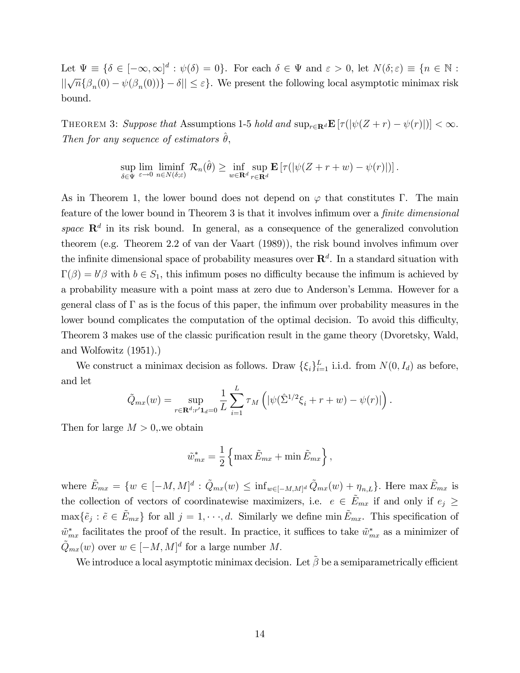Let  $\Psi \equiv {\delta \in [-\infty, \infty]^d : \psi(\delta) = 0}.$  For each  $\delta \in \Psi$  and  $\varepsilon > 0$ , let  $N(\delta; \varepsilon) \equiv {n \in \mathbb{N} : \mathbb{R} \setminus \{-\infty, \infty\}^d}$  $||\sqrt{n} {\{\beta_n(0) - \psi(\beta_n(0))\}} - \delta|| \leq \varepsilon$ . We present the following local asymptotic minimax risk bound.

THEOREM 3: Suppose that Assumptions 1-5 hold and  $\sup_{r\in\mathbf{R}^d} \mathbf{E} \left[ \tau(|\psi(Z + r) - \psi(r)|) \right] < \infty$ . Then for any sequence of estimators  $\theta$ ,

> sup  $\sup_{\delta \in \Psi} \lim_{\varepsilon \to 0} \liminf_{n \in N(\delta; \varepsilon)}$  $\liminf_{n\in N(\delta;\varepsilon)}\mathcal{R}_n(\hat{\theta}) \geq \inf_{w\in\mathbf{R}^d}$ sup  $r \in \mathbf{R}^d$  $\mathbf{E} \left[ \tau(|\psi(Z + r + w) - \psi(r)|) \right].$

As in Theorem 1, the lower bound does not depend on  $\varphi$  that constitutes  $\Gamma$ . The main feature of the lower bound in Theorem 3 is that it involves infimum over a *finite dimensional* space  $\mathbb{R}^d$  in its risk bound. In general, as a consequence of the generalized convolution theorem (e.g. Theorem 2.2 of van der Vaart (1989)), the risk bound involves infimum over the infinite dimensional space of probability measures over  $\mathbb{R}^d$ . In a standard situation with  $\Gamma(\beta) = b'\beta$  with  $b \in S_1$ , this infimum poses no difficulty because the infimum is achieved by a probability measure with a point mass at zero due to Anderson's Lemma. However for a general class of  $\Gamma$  as is the focus of this paper, the infimum over probability measures in the lower bound complicates the computation of the optimal decision. To avoid this difficulty, Theorem 3 makes use of the classic purification result in the game theory (Dvoretsky, Wald, and Wolfowitz (1951).)

We construct a minimax decision as follows. Draw  $\{\xi_i\}_{i=1}^L$  i.i.d. from  $N(0, I_d)$  as before, and let

$$
\tilde{Q}_{mx}(w) = \sup_{r \in \mathbf{R}^d : r' \mathbf{1}_d = 0} \frac{1}{L} \sum_{i=1}^L \tau_M \left( |\psi(\hat{\Sigma}^{1/2} \xi_i + r + w) - \psi(r)| \right).
$$

Then for large  $M > 0$ , we obtain

$$
\tilde{w}_{mx}^* = \frac{1}{2} \left\{ \max \tilde{E}_{mx} + \min \tilde{E}_{mx} \right\},\,
$$

where  $\tilde{E}_{mx} = \{w \in [-M, M]^d : \tilde{Q}_{mx}(w) \leq \inf_{w \in [-M, M]^d} \tilde{Q}_{mx}(w) + \eta_{n,L}\}.$  Here  $\max \tilde{E}_{mx}$  is the collection of vectors of coordinatewise maximizers, i.e.  $e \in \tilde{E}_{mx}$  if and only if  $e_j \geq$  $\max{\{\tilde{e}_j : \tilde{e} \in \tilde{E}_{mx}\}}$  for all  $j = 1, \dots, d$ . Similarly we define min  $\tilde{E}_{mx}$ . This specification of  $\tilde{w}_{mx}^*$  facilitates the proof of the result. In practice, it suffices to take  $\tilde{w}_{mx}^*$  as a minimizer of  $\tilde{Q}_{mx}(w)$  over  $w \in [-M, M]^d$  for a large number M.

We introduce a local asymptotic minimax decision. Let  $\tilde{\beta}$  be a semiparametrically efficient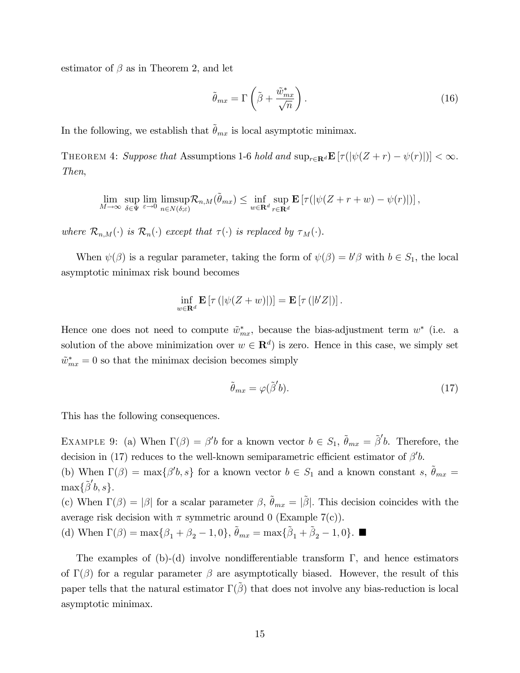estimator of  $\beta$  as in Theorem 2, and let

$$
\tilde{\theta}_{mx} = \Gamma\left(\tilde{\beta} + \frac{\tilde{w}_{mx}^*}{\sqrt{n}}\right). \tag{16}
$$

In the following, we establish that  $\ddot{\theta}_{mx}$  is local asymptotic minimax.

THEOREM 4: Suppose that Assumptions 1-6 hold and  $\sup_{r\in\mathbf{R}^d} \mathbf{E} [\tau(|\psi(Z+r) - \psi(r)|)] < \infty$ . Then,

$$
\lim_{M\to\infty}\sup_{\delta\in\Psi}\lim_{\varepsilon\to 0}\limsup_{n\in N(\delta;\varepsilon)}\mathcal{R}_{n,M}(\tilde{\theta}_{mx})\leq \inf_{w\in\mathbf{R}^d}\sup_{r\in\mathbf{R}^d}\mathbf{E}\left[\tau(|\psi(Z+r+w)-\psi(r)|)\right],
$$

where  $\mathcal{R}_{n,M}(\cdot)$  is  $\mathcal{R}_n(\cdot)$  except that  $\tau(\cdot)$  is replaced by  $\tau_M(\cdot)$ .

When  $\psi(\beta)$  is a regular parameter, taking the form of  $\psi(\beta) = b'\beta$  with  $b \in S_1$ , the local asymptotic minimax risk bound becomes

$$
\inf_{w \in \mathbf{R}^d} \mathbf{E} \left[ \tau \left( |\psi(Z+w)| \right) \right] = \mathbf{E} \left[ \tau \left( |b'Z| \right) \right].
$$

Hence one does not need to compute  $\tilde{w}_{mx}^*$ , because the bias-adjustment term  $w^*$  (i.e. a solution of the above minimization over  $w \in \mathbb{R}^d$  is zero. Hence in this case, we simply set  $\tilde{w}_{mx}^* = 0$  so that the minimax decision becomes simply

$$
\tilde{\theta}_{mx} = \varphi(\tilde{\beta}'b). \tag{17}
$$

This has the following consequences.

EXAMPLE 9: (a) When  $\Gamma(\beta) = \beta' b$  for a known vector  $b \in S_1$ ,  $\tilde{\theta}_{mx} = \tilde{\beta}' b$ . Therefore, the decision in (17) reduces to the well-known semiparametric efficient estimator of  $\beta' b$ .

(b) When  $\Gamma(\beta) = \max\{\beta' b, s\}$  for a known vector  $b \in S_1$  and a known constant s,  $\tilde{\theta}_{mx} =$  $\max{\{\widetilde{\beta}'b,s\}}.$ 

(c) When  $\Gamma(\beta) = |\beta|$  for a scalar parameter  $\beta$ ,  $\tilde{\theta}_{mx} = |\tilde{\beta}|$ . This decision coincides with the average risk decision with  $\pi$  symmetric around 0 (Example 7(c)).

(d) When  $\Gamma(\beta) = \max\{\beta_1 + \beta_2 - 1, 0\}, \, \tilde{\theta}_{mx} = \max\{\tilde{\beta}_1 + \tilde{\beta}_2 - 1, 0\}.$ 

The examples of (b)-(d) involve nondifferentiable transform  $\Gamma$ , and hence estimators of  $\Gamma(\beta)$  for a regular parameter  $\beta$  are asymptotically biased. However, the result of this paper tells that the natural estimator  $\Gamma(\beta)$  that does not involve any bias-reduction is local asymptotic minimax.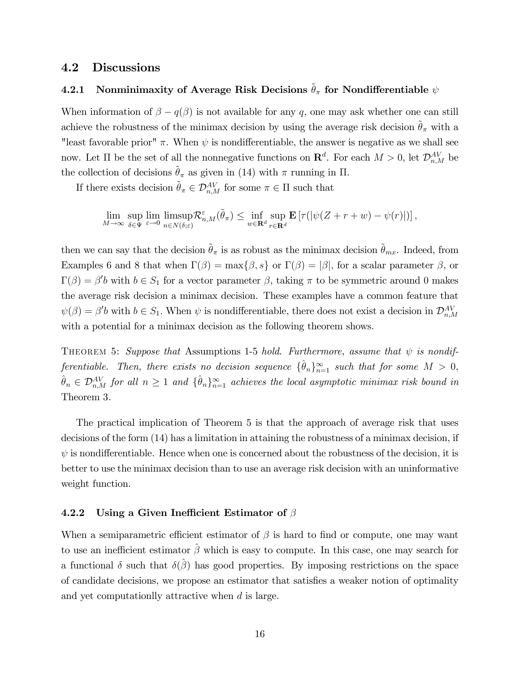#### 4.2 Discussions

#### 4.2.1 Nonminimaxity of Average Risk Decisions  $\tilde{\theta}_{\pi}$  for Nondifferentiable  $\psi$

When information of  $\beta - q(\beta)$  is not available for any q, one may ask whether one can still achieve the robustness of the minimax decision by using the average risk decision  $\tilde{\theta}_{\pi}$  with a "least favorable prior"  $\pi$ . When  $\psi$  is nondifferentiable, the answer is negative as we shall see now. Let  $\Pi$  be the set of all the nonnegative functions on  $\mathbb{R}^d$ . For each  $M > 0$ , let  $\mathcal{D}_{n,M}^{AV}$  be the collection of decisions  $\tilde{\theta}_{\pi}$  as given in (14) with  $\pi$  running in  $\Pi$ .

If there exists decision  $\tilde{\theta}_{\pi} \in \mathcal{D}_{n,M}^{AV}$  for some  $\pi \in \Pi$  such that

$$
\lim_{M\to\infty}\sup_{\delta\in\Psi}\lim_{\varepsilon\to 0}\limsup_{n\in N(\delta;\varepsilon)}\mathcal{R}_{n,M}^{\varepsilon}(\tilde{\theta}_{\pi})\leq \inf_{w\in\mathbf{R}^d}\sup_{r\in\mathbf{R}^d}\mathbf{E}\left[\tau(|\psi(Z+r+w)-\psi(r)|)\right],
$$

then we can say that the decision  $\tilde{\theta}_{\pi}$  is as robust as the minimax decision  $\tilde{\theta}_{mx}$ . Indeed, from Examples 6 and 8 that when  $\Gamma(\beta) = \max\{\beta, s\}$  or  $\Gamma(\beta) = |\beta|$ , for a scalar parameter  $\beta$ , or  $\Gamma(\beta) = \beta' b$  with  $b \in S_1$  for a vector parameter  $\beta$ , taking  $\pi$  to be symmetric around 0 makes the average risk decision a minimax decision. These examples have a common feature that  $\psi(\beta) = \beta' b$  with  $b \in S_1$ . When  $\psi$  is nondifferentiable, there does not exist a decision in  $\mathcal{D}_{n,M}^{AV}$ with a potential for a minimax decision as the following theorem shows.

THEOREM 5: Suppose that Assumptions 1-5 hold. Furthermore, assume that  $\psi$  is nondifferentiable. Then, there exists no decision sequence  $\{\hat{\theta}_n\}_{n=1}^{\infty}$  such that for some  $M > 0$ ,  $\hat{\theta}_n \in \mathcal{D}_{n,M}^{AV}$  for all  $n \geq 1$  and  $\{\hat{\theta}_n\}_{n=1}^{\infty}$  achieves the local asymptotic minimax risk bound in Theorem 3.

The practical implication of Theorem 5 is that the approach of average risk that uses decisions of the form (14) has a limitation in attaining the robustness of a minimax decision, if  $\psi$  is nondifferentiable. Hence when one is concerned about the robustness of the decision, it is better to use the minimax decision than to use an average risk decision with an uninformative weight function.

#### 4.2.2 Using a Given Inefficient Estimator of  $\beta$

When a semiparametric efficient estimator of  $\beta$  is hard to find or compute, one may want to use an inefficient estimator  $\hat{\beta}$  which is easy to compute. In this case, one may search for a functional  $\delta$  such that  $\delta(\hat{\beta})$  has good properties. By imposing restrictions on the space of candidate decisions, we propose an estimator that satisfies a weaker notion of optimality and yet computationlly attractive when d is large.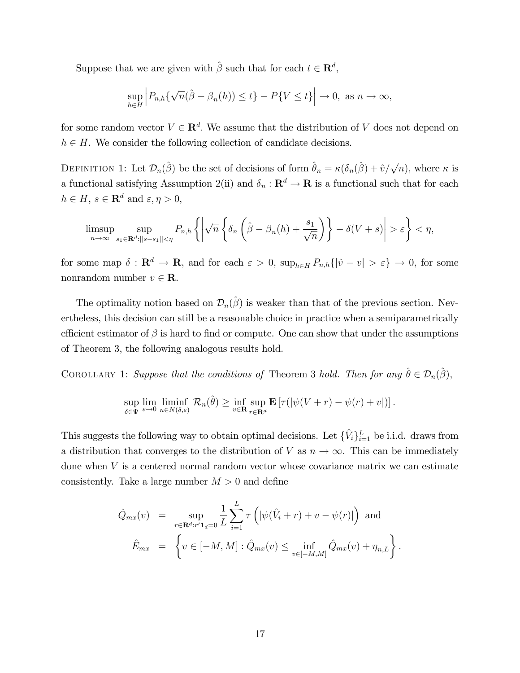Suppose that we are given with  $\hat{\beta}$  such that for each  $t \in \mathbb{R}^d$ ,

$$
\sup_{h\in H} \left| P_{n,h}\{\sqrt{n}(\hat{\beta}-\beta_n(h))\leq t\} - P\{V\leq t\} \right| \to 0, \text{ as } n \to \infty,
$$

for some random vector  $V \in \mathbf{R}^d$ . We assume that the distribution of V does not depend on  $h \in H$ . We consider the following collection of candidate decisions.

DEFINITION 1: Let  $\mathcal{D}_n(\hat{\beta})$  be the set of decisions of form  $\hat{\theta}_n = \kappa(\delta_n(\hat{\beta}) + \hat{v}/\sqrt{n})$ , where  $\kappa$  is a functional satisfying Assumption 2(ii) and  $\delta_n : \mathbf{R}^d \to \mathbf{R}$  is a functional such that for each  $h \in H, \, s \in {\mathbf R}^d$  and  $\varepsilon, \eta > 0,$ 

$$
\limsup_{n \to \infty} \sup_{s_1 \in \mathbf{R}^d: ||s-s_1|| < \eta} P_{n,h} \left\{ \left| \sqrt{n} \left\{ \delta_n \left( \hat{\beta} - \beta_n(h) + \frac{s_1}{\sqrt{n}} \right) \right\} - \delta(V+s) \right| > \varepsilon \right\} < \eta,
$$

for some map  $\delta : \mathbf{R}^d \to \mathbf{R}$ , and for each  $\varepsilon > 0$ ,  $\sup_{h \in H} P_{n,h} \{ |\hat{v} - v| > \varepsilon \} \to 0$ , for some nonrandom number  $v \in \mathbf{R}$ .

The optimality notion based on  $\mathcal{D}_n(\hat{\beta})$  is weaker than that of the previous section. Nevertheless, this decision can still be a reasonable choice in practice when a semiparametrically efficient estimator of  $\beta$  is hard to find or compute. One can show that under the assumptions of Theorem 3, the following analogous results hold.

COROLLARY 1: Suppose that the conditions of Theorem 3 hold. Then for any  $\hat{\theta} \in \mathcal{D}_n(\hat{\beta})$ ,

$$
\sup_{\delta \in \Psi} \lim_{\varepsilon \to 0} \liminf_{n \in N(\delta,\varepsilon)} \mathcal{R}_n(\hat{\theta}) \ge \inf_{v \in \mathbf{R}} \sup_{r \in \mathbf{R}^d} \mathbf{E} \left[ \tau(|\psi(V+r) - \psi(r) + v|) \right].
$$

This suggests the following way to obtain optimal decisions. Let  $\{\hat{V}_i\}_{i=1}^L$  be i.i.d. draws from a distribution that converges to the distribution of V as  $n \to \infty$ . This can be immediately done when  $V$  is a centered normal random vector whose covariance matrix we can estimate consistently. Take a large number  $M > 0$  and define

$$
\hat{Q}_{mx}(v) = \sup_{r \in \mathbf{R}^d : r' \mathbf{1}_d = 0} \frac{1}{L} \sum_{i=1}^L \tau \left( |\psi(\hat{V}_i + r) + v - \psi(r)| \right) \text{ and}
$$

$$
\hat{E}_{mx} = \left\{ v \in [-M, M] : \hat{Q}_{mx}(v) \le \inf_{v \in [-M, M]} \hat{Q}_{mx}(v) + \eta_{n,L} \right\}.
$$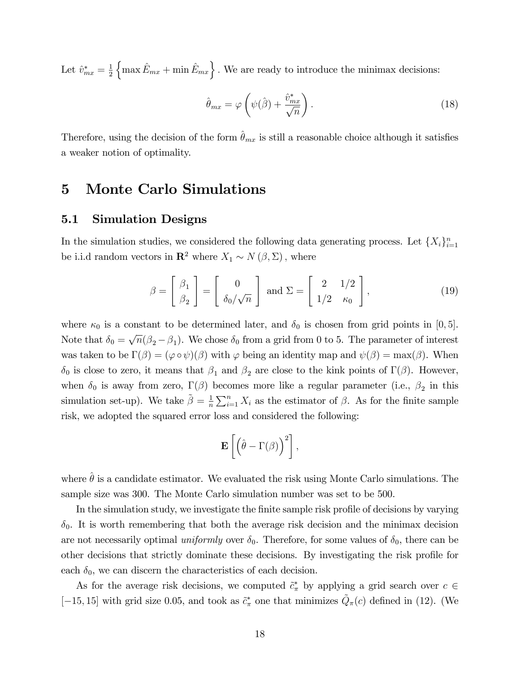Let  $\hat{v}^*_{mx} = \frac{1}{2}$ 2  $\{ \max \hat{E}_{mx} + \min \hat{E}_{mx} \}$ . We are ready to introduce the minimax decisions:

$$
\hat{\theta}_{mx} = \varphi \left( \psi(\hat{\beta}) + \frac{\hat{v}_{mx}^*}{\sqrt{n}} \right). \tag{18}
$$

Therefore, using the decision of the form  $\hat{\theta}_{mx}$  is still a reasonable choice although it satisfies a weaker notion of optimality.

## 5 Monte Carlo Simulations

#### 5.1 Simulation Designs

In the simulation studies, we considered the following data generating process. Let  $\{X_i\}_{i=1}^n$ be i.i.d random vectors in  $\mathbb{R}^2$  where  $X_1 \sim N(\beta, \Sigma)$ , where

$$
\beta = \begin{bmatrix} \beta_1 \\ \beta_2 \end{bmatrix} = \begin{bmatrix} 0 \\ \delta_0/\sqrt{n} \end{bmatrix} \text{ and } \Sigma = \begin{bmatrix} 2 & 1/2 \\ 1/2 & \kappa_0 \end{bmatrix},
$$
(19)

where  $\kappa_0$  is a constant to be determined later, and  $\delta_0$  is chosen from grid points in [0, 5]. Note that  $\delta_0 = \sqrt{n}(\beta_2 - \beta_1)$ . We chose  $\delta_0$  from a grid from 0 to 5. The parameter of interest was taken to be  $\Gamma(\beta) = (\varphi \circ \psi)(\beta)$  with  $\varphi$  being an identity map and  $\psi(\beta) = \max(\beta)$ . When  $\delta_0$  is close to zero, it means that  $\beta_1$  and  $\beta_2$  are close to the kink points of  $\Gamma(\beta)$ . However, when  $\delta_0$  is away from zero,  $\Gamma(\beta)$  becomes more like a regular parameter (i.e.,  $\beta_2$  in this simulation set-up). We take  $\tilde{\beta} = \frac{1}{n}$  $\frac{1}{n} \sum_{i=1}^{n} X_i$  as the estimator of  $\beta$ . As for the finite sample risk, we adopted the squared error loss and considered the following:

$$
\mathbf{E}\left[\left(\hat{\theta}-\Gamma(\beta)\right)^2\right],
$$

where  $\hat{\theta}$  is a candidate estimator. We evaluated the risk using Monte Carlo simulations. The sample size was 300. The Monte Carlo simulation number was set to be 500.

In the simulation study, we investigate the finite sample risk profile of decisions by varying  $\delta_0$ . It is worth remembering that both the average risk decision and the minimax decision are not necessarily optimal *uniformly* over  $\delta_0$ . Therefore, for some values of  $\delta_0$ , there can be other decisions that strictly dominate these decisions. By investigating the risk profile for each  $\delta_0$ , we can discern the characteristics of each decision.

As for the average risk decisions, we computed  $\tilde{c}^*$  by applying a grid search over  $c \in$ [-15, 15] with grid size 0.05, and took as  $\tilde{c}^*_{\pi}$  one that minimizes  $\tilde{Q}_{\pi}(c)$  defined in (12). (We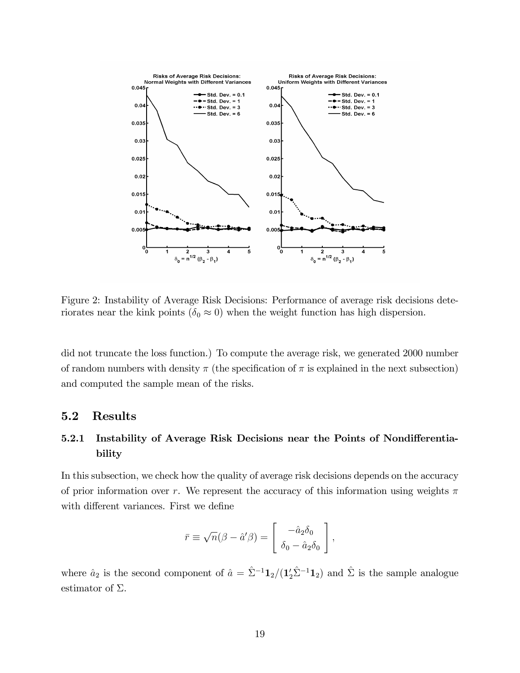

Figure 2: Instability of Average Risk Decisions: Performance of average risk decisions deteriorates near the kink points ( $\delta_0 \approx 0$ ) when the weight function has high dispersion.

did not truncate the loss function.) To compute the average risk, we generated 2000 number of random numbers with density  $\pi$  (the specification of  $\pi$  is explained in the next subsection) and computed the sample mean of the risks.

#### 5.2 Results

### 5.2.1 Instability of Average Risk Decisions near the Points of Nondifferentiability

In this subsection, we check how the quality of average risk decisions depends on the accuracy of prior information over r. We represent the accuracy of this information using weights  $\pi$ with different variances. First we define

$$
\bar{r} \equiv \sqrt{n}(\beta - \hat{a}'\beta) = \begin{bmatrix} -\hat{a}_2\delta_0 \\ \delta_0 - \hat{a}_2\delta_0 \end{bmatrix},
$$

where  $\hat{a}_2$  is the second component of  $\hat{a} = \hat{\Sigma}^{-1} \mathbf{1}_2/(\mathbf{1}_2'\hat{\Sigma}^{-1} \mathbf{1}_2)$  and  $\hat{\Sigma}$  is the sample analogue estimator of  $\Sigma$ .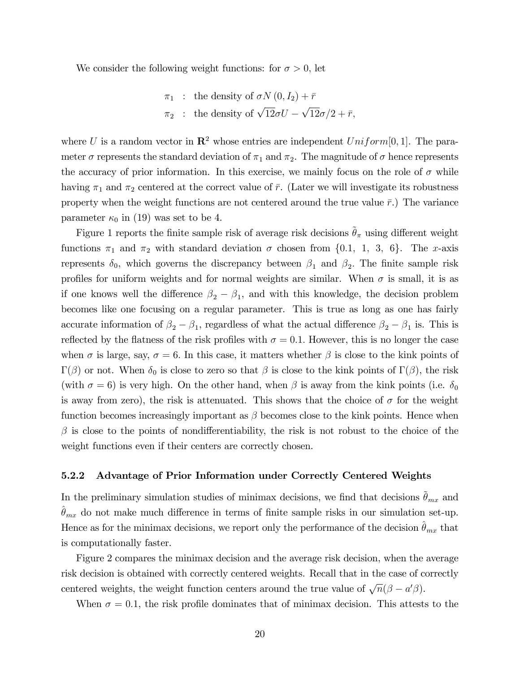We consider the following weight functions: for  $\sigma > 0$ , let

$$
\pi_1
$$
: the density of  $\sigma N(0, I_2) + \bar{r}$   
 $\pi_2$ : the density of  $\sqrt{12}\sigma U - \sqrt{12}\sigma/2 + \bar{r}$ ,

where U is a random vector in  $\mathbb{R}^2$  whose entries are independent Uniform [0, 1]. The parameter  $\sigma$  represents the standard deviation of  $\pi_1$  and  $\pi_2$ . The magnitude of  $\sigma$  hence represents the accuracy of prior information. In this exercise, we mainly focus on the role of  $\sigma$  while having  $\pi_1$  and  $\pi_2$  centered at the correct value of  $\bar{r}$ . (Later we will investigate its robustness property when the weight functions are not centered around the true value  $\bar{r}$ .) The variance parameter  $\kappa_0$  in (19) was set to be 4.

Figure 1 reports the finite sample risk of average risk decisions  $\tilde{\theta}_{\pi}$  using different weight functions  $\pi_1$  and  $\pi_2$  with standard deviation  $\sigma$  chosen from {0.1, 1, 3, 6}. The x-axis represents  $\delta_0$ , which governs the discrepancy between  $\beta_1$  and  $\beta_2$ . The finite sample risk profiles for uniform weights and for normal weights are similar. When  $\sigma$  is small, it is as if one knows well the difference  $\beta_2 - \beta_1$ , and with this knowledge, the decision problem becomes like one focusing on a regular parameter. This is true as long as one has fairly accurate information of  $\beta_2 - \beta_1$ , regardless of what the actual difference  $\beta_2 - \beta_1$  is. This is reflected by the flatness of the risk profiles with  $\sigma = 0.1$ . However, this is no longer the case when  $\sigma$  is large, say,  $\sigma = 6$ . In this case, it matters whether  $\beta$  is close to the kink points of  $\Gamma(\beta)$  or not. When  $\delta_0$  is close to zero so that  $\beta$  is close to the kink points of  $\Gamma(\beta)$ , the risk (with  $\sigma = 6$ ) is very high. On the other hand, when  $\beta$  is away from the kink points (i.e.  $\delta_0$ ) is away from zero), the risk is attenuated. This shows that the choice of  $\sigma$  for the weight function becomes increasingly important as  $\beta$  becomes close to the kink points. Hence when  $\beta$  is close to the points of nondifferentiability, the risk is not robust to the choice of the weight functions even if their centers are correctly chosen.

#### 5.2.2 Advantage of Prior Information under Correctly Centered Weights

In the preliminary simulation studies of minimax decisions, we find that decisions  $\theta_{mx}$  and  $\theta_{mx}$  do not make much difference in terms of finite sample risks in our simulation set-up. Hence as for the minimax decisions, we report only the performance of the decision  $\hat{\theta}_{mx}$  that is computationally faster.

Figure 2 compares the minimax decision and the average risk decision, when the average risk decision is obtained with correctly centered weights. Recall that in the case of correctly centered weights, the weight function centers around the true value of  $\sqrt{n}(\beta - a'\beta)$ .

When  $\sigma = 0.1$ , the risk profile dominates that of minimax decision. This attests to the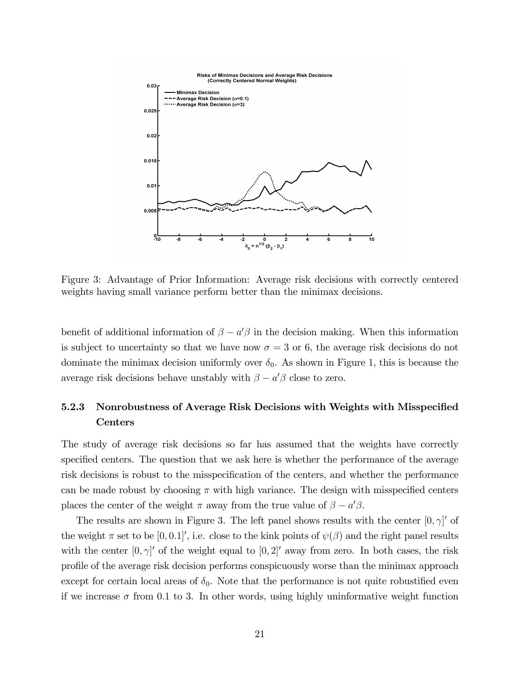

Figure 3: Advantage of Prior Information: Average risk decisions with correctly centered weights having small variance perform better than the minimax decisions.

benefit of additional information of  $\beta - a'\beta$  in the decision making. When this information is subject to uncertainty so that we have now  $\sigma = 3$  or 6, the average risk decisions do not dominate the minimax decision uniformly over  $\delta_0$ . As shown in Figure 1, this is because the average risk decisions behave unstably with  $\beta - a'\beta$  close to zero.

### 5.2.3 Nonrobustness of Average Risk Decisions with Weights with Misspecified Centers

The study of average risk decisions so far has assumed that the weights have correctly specified centers. The question that we ask here is whether the performance of the average risk decisions is robust to the misspecification of the centers, and whether the performance can be made robust by choosing  $\pi$  with high variance. The design with misspecified centers places the center of the weight  $\pi$  away from the true value of  $\beta - a'\beta$ .

The results are shown in Figure 3. The left panel shows results with the center  $[0, \gamma]'$  of the weight  $\pi$  set to be  $[0, 0.1]$ ', i.e. close to the kink points of  $\psi(\beta)$  and the right panel results with the center  $[0, \gamma]'$  of the weight equal to  $[0, 2]'$  away from zero. In both cases, the risk profile of the average risk decision performs conspicuously worse than the minimax approach except for certain local areas of  $\delta_0$ . Note that the performance is not quite robustified even if we increase  $\sigma$  from 0.1 to 3. In other words, using highly uninformative weight function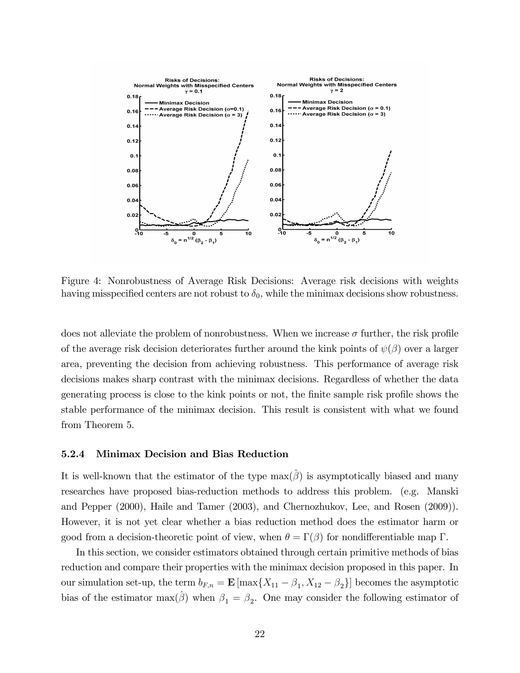

Figure 4: Nonrobustness of Average Risk Decisions: Average risk decisions with weights having misspecified centers are not robust to  $\delta_0$ , while the minimax decisions show robustness.

does not alleviate the problem of nonrobustness. When we increase  $\sigma$  further, the risk profile of the average risk decision deteriorates further around the kink points of  $\psi(\beta)$  over a larger area, preventing the decision from achieving robustness. This performance of average risk decisions makes sharp contrast with the minimax decisions. Regardless of whether the data generating process is close to the kink points or not, the finite sample risk profile shows the stable performance of the minimax decision. This result is consistent with what we found from Theorem 5.

#### 5.2.4 Minimax Decision and Bias Reduction

It is well-known that the estimator of the type  $\max(\beta)$  is asymptotically biased and many researches have proposed bias-reduction methods to address this problem. (e.g. Manski and Pepper (2000), Haile and Tamer (2003), and Chernozhukov, Lee, and Rosen (2009)). However, it is not yet clear whether a bias reduction method does the estimator harm or good from a decision-theoretic point of view, when  $\theta = \Gamma(\beta)$  for nondifferentiable map  $\Gamma$ .

In this section, we consider estimators obtained through certain primitive methods of bias reduction and compare their properties with the minimax decision proposed in this paper. In our simulation set-up, the term  $b_{F,n} = \mathbf{E} [\max\{X_{11} - \beta_1, X_{12} - \beta_2\}]$  becomes the asymptotic bias of the estimator  $\max(\hat{\beta})$  when  $\beta_1 = \beta_2$ . One may consider the following estimator of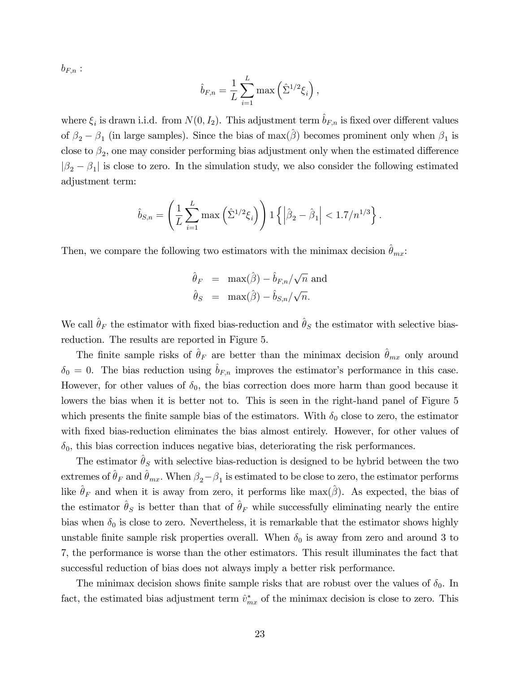$b_{F,n}$ :

$$
\hat{b}_{F,n} = \frac{1}{L} \sum_{i=1}^{L} \max \left( \hat{\Sigma}^{1/2} \xi_i \right),
$$

where  $\xi_i$  is drawn i.i.d. from  $N(0, I_2)$ . This adjustment term  $\hat{b}_{F,n}$  is fixed over different values of  $\beta_2 - \beta_1$  (in large samples). Since the bias of  $\max(\hat{\beta})$  becomes prominent only when  $\beta_1$  is close to  $\beta_2$ , one may consider performing bias adjustment only when the estimated difference  $|\beta_2 - \beta_1|$  is close to zero. In the simulation study, we also consider the following estimated adjustment term:

$$
\hat{b}_{S,n} = \left(\frac{1}{L} \sum_{i=1}^{L} \max\left(\hat{\Sigma}^{1/2} \xi_i\right)\right) \mathbf{1} \left\{ \left|\hat{\beta}_2 - \hat{\beta}_1\right| < 1.7/n^{1/3} \right\}.
$$

Then, we compare the following two estimators with the minimax decision  $\theta_{mx}$ :

$$
\hat{\theta}_F = \max(\hat{\beta}) - \hat{b}_{F,n}/\sqrt{n} \text{ and}
$$

$$
\hat{\theta}_S = \max(\hat{\beta}) - \hat{b}_{S,n}/\sqrt{n}.
$$

We call  $\hat{\theta}_F$  the estimator with fixed bias-reduction and  $\hat{\theta}_S$  the estimator with selective biasreduction. The results are reported in Figure 5.

The finite sample risks of  $\hat{\theta}_F$  are better than the minimax decision  $\hat{\theta}_{mx}$  only around  $\delta_0 = 0$ . The bias reduction using  $\hat{b}_{F,n}$  improves the estimator's performance in this case. However, for other values of  $\delta_0$ , the bias correction does more harm than good because it lowers the bias when it is better not to. This is seen in the right-hand panel of Figure 5 which presents the finite sample bias of the estimators. With  $\delta_0$  close to zero, the estimator with fixed bias-reduction eliminates the bias almost entirely. However, for other values of  $\delta_0$ , this bias correction induces negative bias, deteriorating the risk performances.

The estimator  $\hat{\theta}_S$  with selective bias-reduction is designed to be hybrid between the two extremes of  $\hat{\theta}_F$  and  $\hat{\theta}_{mx}$ . When  $\beta_2-\beta_1$  is estimated to be close to zero, the estimator performs like  $\hat{\theta}_F$  and when it is away from zero, it performs like max( $\hat{\beta}$ ). As expected, the bias of the estimator  $\hat{\theta}_S$  is better than that of  $\hat{\theta}_F$  while successfully eliminating nearly the entire bias when  $\delta_0$  is close to zero. Nevertheless, it is remarkable that the estimator shows highly unstable finite sample risk properties overall. When  $\delta_0$  is away from zero and around 3 to 7, the performance is worse than the other estimators. This result illuminates the fact that successful reduction of bias does not always imply a better risk performance.

The minimax decision shows finite sample risks that are robust over the values of  $\delta_0$ . In fact, the estimated bias adjustment term  $\hat{v}^*_{mx}$  of the minimax decision is close to zero. This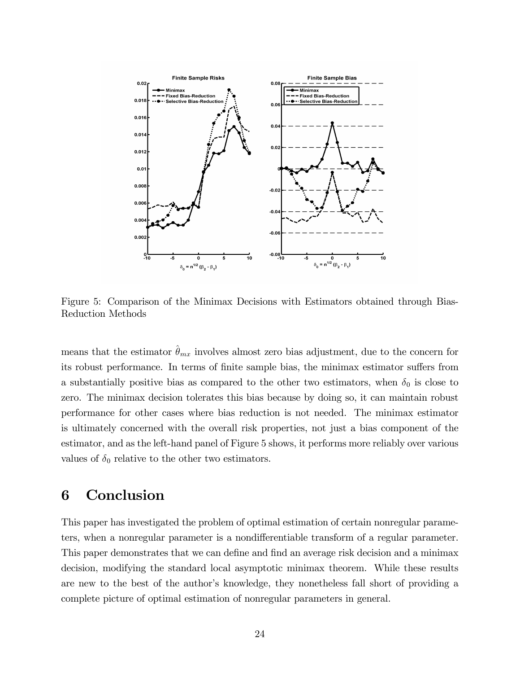

Figure 5: Comparison of the Minimax Decisions with Estimators obtained through Bias-Reduction Methods

means that the estimator  $\hat{\theta}_{mx}$  involves almost zero bias adjustment, due to the concern for its robust performance. In terms of finite sample bias, the minimax estimator suffers from a substantially positive bias as compared to the other two estimators, when  $\delta_0$  is close to zero. The minimax decision tolerates this bias because by doing so, it can maintain robust performance for other cases where bias reduction is not needed. The minimax estimator is ultimately concerned with the overall risk properties, not just a bias component of the estimator, and as the left-hand panel of Figure 5 shows, it performs more reliably over various values of  $\delta_0$  relative to the other two estimators.

# 6 Conclusion

This paper has investigated the problem of optimal estimation of certain nonregular parameters, when a nonregular parameter is a nondifferentiable transform of a regular parameter. This paper demonstrates that we can define and find an average risk decision and a minimax decision, modifying the standard local asymptotic minimax theorem. While these results are new to the best of the author's knowledge, they nonetheless fall short of providing a complete picture of optimal estimation of nonregular parameters in general.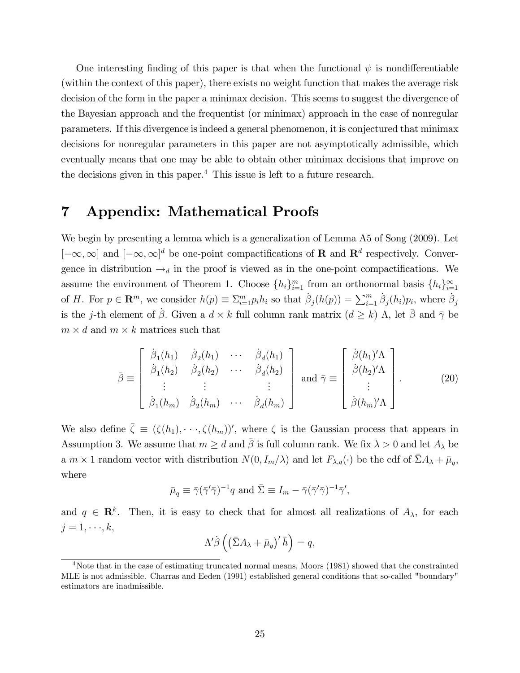One interesting finding of this paper is that when the functional  $\psi$  is nondifferentiable (within the context of this paper), there exists no weight function that makes the average risk decision of the form in the paper a minimax decision. This seems to suggest the divergence of the Bayesian approach and the frequentist (or minimax) approach in the case of nonregular parameters. If this divergence is indeed a general phenomenon, it is conjectured that minimax decisions for nonregular parameters in this paper are not asymptotically admissible, which eventually means that one may be able to obtain other minimax decisions that improve on the decisions given in this paper.<sup>4</sup> This issue is left to a future research.

## 7 Appendix: Mathematical Proofs

We begin by presenting a lemma which is a generalization of Lemma A5 of Song (2009). Let  $[-\infty,\infty]$  and  $[-\infty,\infty]^d$  be one-point compactifications of **R** and **R**<sup>d</sup> respectively. Convergence in distribution  $\rightarrow_d$  in the proof is viewed as in the one-point compactifications. We assume the environment of Theorem 1. Choose  $\{h_i\}_{i=1}^m$  from an orthonormal basis  $\{h_i\}_{i=1}^{\infty}$ of H. For  $p \in \mathbf{R}^m$ , we consider  $h(p) \equiv \sum_{i=1}^m p_i h_i$  so that  $\beta_j(h(p)) = \sum_{i=1}^m \beta_j(h_i) p_i$ , where  $\beta_j$ is the *j*-th element of  $\beta$ . Given a  $d \times k$  full column rank matrix  $(d \geq k)$   $\Lambda$ , let  $\overline{\beta}$  and  $\overline{\gamma}$  be  $m \times d$  and  $m \times k$  matrices such that

$$
\bar{\beta} \equiv \begin{bmatrix} \dot{\beta}_1(h_1) & \dot{\beta}_2(h_1) & \cdots & \dot{\beta}_d(h_1) \\ \dot{\beta}_1(h_2) & \dot{\beta}_2(h_2) & \cdots & \dot{\beta}_d(h_2) \\ \vdots & \vdots & \ddots & \vdots \\ \dot{\beta}_1(h_m) & \dot{\beta}_2(h_m) & \cdots & \dot{\beta}_d(h_m) \end{bmatrix} \text{ and } \bar{\gamma} \equiv \begin{bmatrix} \dot{\beta}(h_1)'\Lambda \\ \dot{\beta}(h_2)'\Lambda \\ \vdots \\ \dot{\beta}(h_m)'\Lambda \end{bmatrix} .
$$
 (20)

We also define  $\bar{\zeta} \equiv (\zeta(h_1), \cdots, \zeta(h_m))'$ , where  $\zeta$  is the Gaussian process that appears in Assumption 3. We assume that  $m \geq d$  and  $\bar{\beta}$  is full column rank. We fix  $\lambda > 0$  and let  $A_{\lambda}$  be a  $m \times 1$  random vector with distribution  $N(0, I_m/\lambda)$  and let  $F_{\lambda,q}(\cdot)$  be the cdf of  $\bar{\Sigma}A_{\lambda} + \bar{\mu}_q$ , where

$$
\bar{\mu}_q \equiv \bar{\gamma}(\bar{\gamma}'\bar{\gamma})^{-1}q
$$
 and  $\bar{\Sigma} \equiv I_m - \bar{\gamma}(\bar{\gamma}'\bar{\gamma})^{-1}\bar{\gamma}',$ 

and  $q \in \mathbb{R}^k$ . Then, it is easy to check that for almost all realizations of  $A_\lambda$ , for each  $j = 1, \dots, k$ ,

$$
\Lambda' \dot{\beta} \left( \left( \bar{\Sigma} A_{\lambda} + \bar{\mu}_q \right)' \bar{h} \right) = q,
$$

<sup>4</sup>Note that in the case of estimating truncated normal means, Moors (1981) showed that the constrainted MLE is not admissible. Charras and Eeden (1991) established general conditions that so-called "boundary" estimators are inadmissible.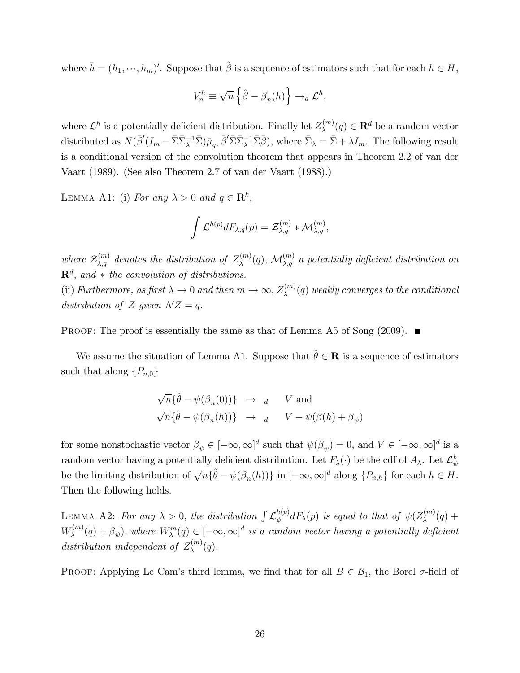where  $\bar{h} = (h_1, \dots, h_m)'$ . Suppose that  $\hat{\beta}$  is a sequence of estimators such that for each  $h \in H$ ,

$$
V_n^h \equiv \sqrt{n} \left\{ \hat{\beta} - \beta_n(h) \right\} \to_d \mathcal{L}^h,
$$

where  $\mathcal{L}^h$  is a potentially deficient distribution. Finally let  $Z_{\lambda}^{(m)}$  $\mathbf{R}^{(m)}(q) \in \mathbf{R}^d$  be a random vector distributed as  $N(\bar{\beta}'(I_m - \bar{\Sigma}\bar{\Sigma}_{\lambda}^{-1}\bar{\Sigma})\bar{\mu}_q, \bar{\beta}'\bar{\Sigma}\bar{\Sigma}_{\lambda}^{-1}\bar{\Sigma}\bar{\beta}),$  where  $\bar{\Sigma}_{\lambda} = \bar{\Sigma} + \lambda I_m$ . The following result is a conditional version of the convolution theorem that appears in Theorem 2.2 of van der Vaart (1989). (See also Theorem 2.7 of van der Vaart (1988).)

LEMMA A1: (i) For any  $\lambda > 0$  and  $q \in \mathbb{R}^k$ ,

$$
\int \mathcal{L}^{h(p)} dF_{\lambda,q}(p) = \mathcal{Z}^{(m)}_{\lambda,q} * \mathcal{M}^{(m)}_{\lambda,q},
$$

where  $\mathcal{Z}_{\lambda,q}^{(m)}$  denotes the distribution of  $Z_{\lambda}^{(m)}$  $\mathcal{M}^{(m)}_{\lambda,q}(q),\,\mathcal{M}^{(m)}_{\lambda,q}$  a potentially deficient distribution on  $\mathbf{R}^d$ , and  $*$  the convolution of distributions.

(ii) Furthermore, as first  $\lambda \to 0$  and then  $m \to \infty$ ,  $Z_{\lambda}^{(m)}$  $\chi^{(m)}(q)$  weakly converges to the conditional distribution of Z given  $\Lambda' Z = q$ .

**PROOF:** The proof is essentially the same as that of Lemma A5 of Song  $(2009)$ .

We assume the situation of Lemma A1. Suppose that  $\hat{\theta} \in \mathbf{R}$  is a sequence of estimators such that along  $\{P_{n,0}\}\$ 

$$
\sqrt{n} \{\hat{\theta} - \psi(\beta_n(0))\} \rightarrow d \quad V \text{ and}
$$
  

$$
\sqrt{n} \{\hat{\theta} - \psi(\beta_n(h))\} \rightarrow d \quad V - \psi(\hat{\beta}(h) + \beta_{\psi})
$$

for some nonstochastic vector  $\beta_{\psi} \in [-\infty, \infty]^d$  such that  $\psi(\beta_{\psi}) = 0$ , and  $V \in [-\infty, \infty]^d$  is a random vector having a potentially deficient distribution. Let  $F_{\lambda}(\cdot)$  be the cdf of  $A_{\lambda}$ . Let  $\mathcal{L}_{\psi}^{h}$ be the limiting distribution of  $\sqrt{n} \{\hat{\theta} - \psi(\beta_n(h))\}$  in  $[-\infty, \infty]^d$  along  $\{P_{n,h}\}$  for each  $h \in H$ . Then the following holds.

LEMMA A2: For any  $\lambda > 0$ , the distribution  $\int \mathcal{L}_{\psi}^{h(p)}$  $\partial_\psi^{h(p)}dF_\lambda(p)$  is equal to that of  $\psi(Z_\lambda^{(m)})$  $\lambda^{(m)}(q)$  +  $W_{\lambda}^{(m)}$  $\mathcal{L}_{\lambda}^{(m)}(q) + \beta_{\psi}$ , where  $W_{\lambda}^{m}(q) \in [-\infty, \infty]^d$  is a random vector having a potentially deficient distribution independent of  $Z_{\lambda}^{(m)}$  $\lambda^{(m)}(q).$ 

PROOF: Applying Le Cam's third lemma, we find that for all  $B \in \mathcal{B}_1$ , the Borel  $\sigma$ -field of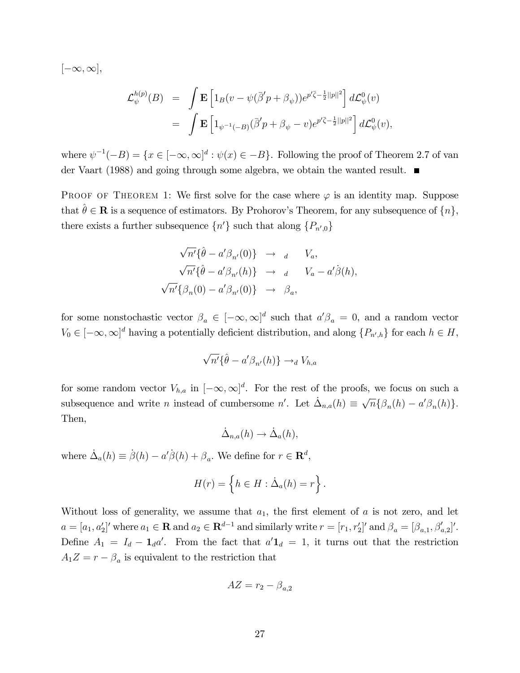$[-\infty,\infty],$ 

$$
\mathcal{L}_{\psi}^{h(p)}(B) = \int \mathbf{E} \left[ 1_B(v - \psi(\bar{\beta}'p + \beta_{\psi})) e^{p'\bar{\zeta} - \frac{1}{2}||p||^2} \right] d\mathcal{L}_{\psi}^{0}(v) \n= \int \mathbf{E} \left[ 1_{\psi^{-1}(-B)}(\bar{\beta}'p + \beta_{\psi} - v) e^{p'\bar{\zeta} - \frac{1}{2}||p||^2} \right] d\mathcal{L}_{\psi}^{0}(v),
$$

where  $\psi^{-1}(-B) = \{x \in [-\infty, \infty]^d : \psi(x) \in -B\}$ . Following the proof of Theorem 2.7 of van der Vaart (1988) and going through some algebra, we obtain the wanted result.

PROOF OF THEOREM 1: We first solve for the case where  $\varphi$  is an identity map. Suppose that  $\hat{\theta} \in \mathbf{R}$  is a sequence of estimators. By Prohorov's Theorem, for any subsequence of  $\{n\}$ , there exists a further subsequence  $\{n'\}$  such that along  $\{P_{n',0}\}$ 

$$
\sqrt{n'}\{\hat{\theta} - a'\beta_{n'}(0)\} \rightarrow d \quad V_a,
$$
  

$$
\sqrt{n'}\{\hat{\theta} - a'\beta_{n'}(h)\} \rightarrow d \quad V_a - a'\dot{\beta}(h),
$$
  

$$
\sqrt{n'}\{\beta_n(0) - a'\beta_{n'}(0)\} \rightarrow \beta_a,
$$

for some nonstochastic vector  $\beta_a \in [-\infty, \infty]^d$  such that  $a'\beta_a = 0$ , and a random vector  $V_0 \in [-\infty, \infty]^d$  having a potentially deficient distribution, and along  $\{P_{n',h}\}\$  for each  $h \in H$ ,

$$
\sqrt{n'}\{\hat{\theta} - a'\beta_{n'}(h)\} \to_d V_{h,a}
$$

for some random vector  $V_{h,a}$  in  $[-\infty,\infty]^d$ . For the rest of the proofs, we focus on such a subsequence and write *n* instead of cumbersome *n'*. Let  $\dot{\Delta}_{n,a}(h) \equiv \sqrt{n} \{ \beta_n(h) - a' \beta_n(h) \}.$ Then,

$$
\dot{\Delta}_{n,a}(h) \to \dot{\Delta}_a(h),
$$

where  $\dot{\Delta}_a(h) \equiv \dot{\beta}(h) - a'\dot{\beta}(h) + \beta_a$ . We define for  $r \in \mathbb{R}^d$ ,

$$
H(r) = \left\{ h \in H : \dot{\Delta}_a(h) = r \right\}.
$$

Without loss of generality, we assume that  $a_1$ , the first element of a is not zero, and let  $a = [a_1, a'_2]'$  where  $a_1 \in \mathbf{R}$  and  $a_2 \in \mathbf{R}^{d-1}$  and similarly write  $r = [r_1, r'_2]'$  and  $\beta_a = [\beta_{a,1}, \beta'_{a,2}]'.$ Define  $A_1 = I_d - \mathbf{1}_d a'$ . From the fact that  $a' \mathbf{1}_d = 1$ , it turns out that the restriction  $A_1 Z = r - \beta_a$  is equivalent to the restriction that

$$
AZ = r_2 - \beta_{a,2}
$$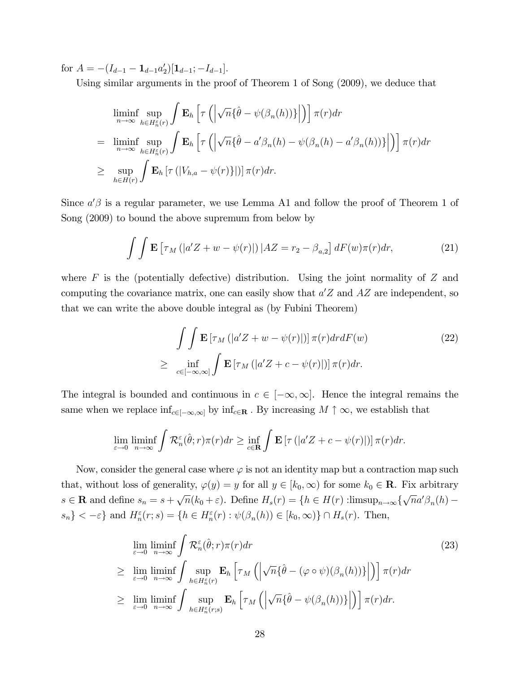for  $A = -(I_{d-1} - \mathbf{1}_{d-1}a'_2)[\mathbf{1}_{d-1}; -I_{d-1}].$ 

Using similar arguments in the proof of Theorem 1 of Song (2009), we deduce that

$$
\liminf_{n \to \infty} \sup_{h \in H_n^{\varepsilon}(r)} \int \mathbf{E}_h \left[ \tau \left( \left| \sqrt{n} \{ \hat{\theta} - \psi(\beta_n(h)) \} \right| \right) \right] \pi(r) dr
$$
\n
$$
= \liminf_{n \to \infty} \sup_{h \in H_n^{\varepsilon}(r)} \int \mathbf{E}_h \left[ \tau \left( \left| \sqrt{n} \{ \hat{\theta} - a' \beta_n(h) - \psi(\beta_n(h) - a' \beta_n(h)) \} \right| \right) \right] \pi(r) dr
$$
\n
$$
\geq \sup_{h \in H(r)} \int \mathbf{E}_h \left[ \tau \left( |V_{h,a} - \psi(r) \} | \right) \right] \pi(r) dr.
$$

Since  $a'\beta$  is a regular parameter, we use Lemma A1 and follow the proof of Theorem 1 of Song (2009) to bound the above supremum from below by

$$
\int \int \mathbf{E} \left[ \tau_M \left( |a'Z + w - \psi(r)| \right) | AZ = r_2 - \beta_{a,2} \right] dF(w) \pi(r) dr,\tag{21}
$$

where  $F$  is the (potentially defective) distribution. Using the joint normality of  $Z$  and computing the covariance matrix, one can easily show that  $a'Z$  and  $AZ$  are independent, so that we can write the above double integral as (by Fubini Theorem)

$$
\int \int \mathbf{E} \left[ \tau_M \left( |a'Z + w - \psi(r)| \right) \right] \pi(r) dr dF(w)
$$
\n
$$
\geq \inf_{c \in [-\infty, \infty]} \int \mathbf{E} \left[ \tau_M \left( |a'Z + c - \psi(r)| \right) \right] \pi(r) dr.
$$
\n(22)

The integral is bounded and continuous in  $c \in [-\infty, \infty]$ . Hence the integral remains the same when we replace  $\inf_{c\in[-\infty,\infty]}$  by  $\inf_{c\in\mathbf{R}}$ . By increasing  $M \uparrow \infty$ , we establish that

$$
\lim_{\varepsilon \to 0} \liminf_{n \to \infty} \int \mathcal{R}_n^{\varepsilon}(\hat{\theta}; r) \pi(r) dr \ge \inf_{c \in \mathbf{R}} \int \mathbf{E} \left[ \tau \left( |a'Z + c - \psi(r)| \right) \right] \pi(r) dr.
$$

Now, consider the general case where  $\varphi$  is not an identity map but a contraction map such that, without loss of generality,  $\varphi(y) = y$  for all  $y \in [k_0, \infty)$  for some  $k_0 \in \mathbf{R}$ . Fix arbitrary  $s \in \mathbf{R}$  and define  $s_n = s + \sqrt{n}(k_0 + \varepsilon)$ . Define  $H_s(r) = \{h \in H(r) : \text{limsup}_{n \to \infty} {\sqrt{n}a^{\prime} \beta_n(h) - \frac{1}{n}}$  $\{s_n\} < -\varepsilon\}$  and  $H_n^{\varepsilon}(r; s) = \{h \in H_n^{\varepsilon}(r) : \psi(\beta_n(h)) \in [k_0, \infty)\} \cap H_s(r)$ . Then,

$$
\lim_{\varepsilon \to 0} \liminf_{n \to \infty} \int \mathcal{R}_n^{\varepsilon}(\hat{\theta}; r) \pi(r) dr
$$
\n
$$
\geq \lim_{\varepsilon \to 0} \liminf_{n \to \infty} \int \sup_{h \in H_n^{\varepsilon}(r)} \mathbf{E}_h \left[ \tau_M \left( \left| \sqrt{n} \{\hat{\theta} - (\varphi \circ \psi)(\beta_n(h))\} \right| \right) \right] \pi(r) dr
$$
\n
$$
\geq \lim_{\varepsilon \to 0} \liminf_{n \to \infty} \int \sup_{h \in H_n^{\varepsilon}(r;s)} \mathbf{E}_h \left[ \tau_M \left( \left| \sqrt{n} \{\hat{\theta} - \psi(\beta_n(h))\} \right| \right) \right] \pi(r) dr.
$$
\n(23)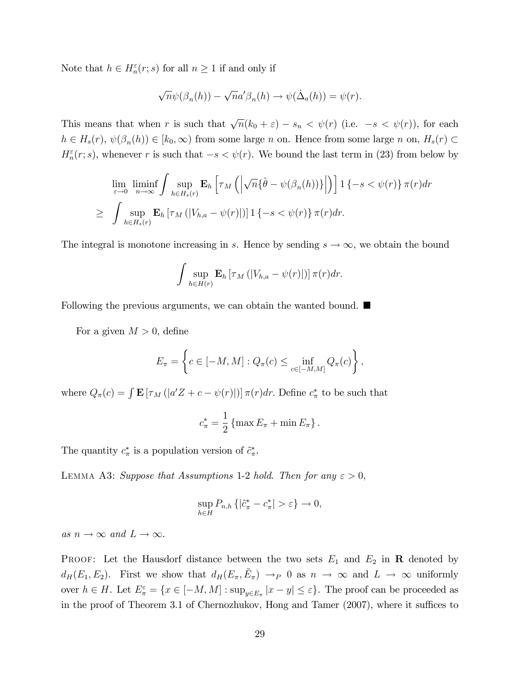Note that  $h \in H_n^{\varepsilon}(r; s)$  for all  $n \ge 1$  if and only if

$$
\sqrt{n}\psi(\beta_n(h)) - \sqrt{n}a'\beta_n(h) \to \psi(\dot{\Delta}_a(h)) = \psi(r).
$$

This means that when r is such that  $\sqrt{n}(k_0 + \varepsilon) - s_n < \psi(r)$  (i.e.  $-s < \psi(r)$ ), for each  $h \in H_s(r)$ ,  $\psi(\beta_n(h)) \in [k_0, \infty)$  from some large n on. Hence from some large n on,  $H_s(r) \subset$  $H_n^{\varepsilon}(r;s)$ , whenever r is such that  $-s < \psi(r)$ . We bound the last term in (23) from below by

$$
\lim_{\varepsilon \to 0} \liminf_{n \to \infty} \int \sup_{h \in H_s(r)} \mathbf{E}_h \left[ \tau_M \left( \left| \sqrt{n} \{ \hat{\theta} - \psi(\beta_n(h)) \} \right| \right) \right] \mathbf{1} \{-s < \psi(r) \} \pi(r) dr
$$
\n
$$
\geq \int \sup_{h \in H_s(r)} \mathbf{E}_h \left[ \tau_M \left( |V_{h,a} - \psi(r)| \right) \mathbf{1} \{-s < \psi(r) \} \pi(r) dr \right]
$$

The integral is monotone increasing in s. Hence by sending  $s \to \infty$ , we obtain the bound

$$
\int \sup_{h \in H(r)} \mathbf{E}_h \left[ \tau_M \left( |V_{h,a} - \psi(r)| \right) \right] \pi(r) dr.
$$

Following the previous arguments, we can obtain the wanted bound.

For a given  $M > 0$ , define

$$
E_{\pi} = \left\{ c \in [-M, M] : Q_{\pi}(c) \le \inf_{c \in [-M, M]} Q_{\pi}(c) \right\},\,
$$

where  $Q_{\pi}(c) = \int \mathbf{E} [\tau_M(|a'Z + c - \psi(r)|)] \pi(r) dr$ . Define  $c^*_{\pi}$  to be such that

$$
c_{\pi}^* = \frac{1}{2} \left\{ \max E_{\pi} + \min E_{\pi} \right\}.
$$

The quantity  $c^*_{\pi}$  is a population version of  $\tilde{c}^*_{\pi}$ .

LEMMA A3: Suppose that Assumptions 1-2 hold. Then for any  $\varepsilon > 0$ ,

$$
\sup_{h \in H} P_{n,h} \left\{ \left| \tilde{c}^*_\pi - c^*_\pi \right| > \varepsilon \right\} \to 0,
$$

as  $n \to \infty$  and  $L \to \infty$ .

PROOF: Let the Hausdorf distance between the two sets  $E_1$  and  $E_2$  in **R** denoted by  $d_H(E_1, E_2)$ . First we show that  $d_H(E_{\pi}, \tilde{E}_{\pi}) \to_P 0$  as  $n \to \infty$  and  $L \to \infty$  uniformly over  $h \in H$ . Let  $E_{\pi}^{\varepsilon} = \{x \in [-M, M] : \sup_{y \in E_{\pi}} |x - y| \le \varepsilon\}$ . The proof can be proceeded as in the proof of Theorem 3.1 of Chernozhukov, Hong and Tamer  $(2007)$ , where it suffices to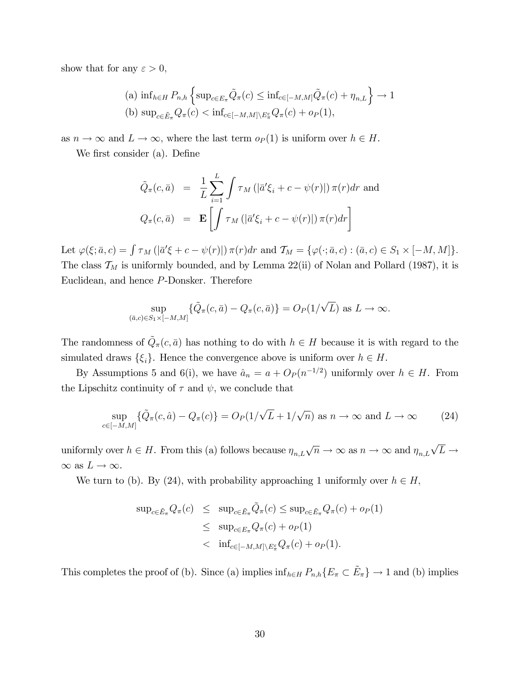show that for any  $\varepsilon > 0$ ,

(a) 
$$
\inf_{h \in H} P_{n,h} \left\{ \sup_{c \in E_{\pi}} \tilde{Q}_{\pi}(c) \leq \inf_{c \in [-M,M]} \tilde{Q}_{\pi}(c) + \eta_{n,L} \right\} \to 1
$$
  
(b)  $\sup_{c \in \tilde{E}_{\pi}} Q_{\pi}(c) < \inf_{c \in [-M,M] \setminus E_{\pi}^c} Q_{\pi}(c) + o_P(1),$ 

as  $n \to \infty$  and  $L \to \infty$ , where the last term  $o_P(1)$  is uniform over  $h \in H$ .

We first consider (a). Define

$$
\tilde{Q}_{\pi}(c,\bar{a}) = \frac{1}{L} \sum_{i=1}^{L} \int \tau_M \left( |\bar{a}' \xi_i + c - \psi(r)| \right) \pi(r) dr \text{ and}
$$
\n
$$
Q_{\pi}(c,\bar{a}) = \mathbf{E} \left[ \int \tau_M \left( |\bar{a}' \xi_i + c - \psi(r)| \right) \pi(r) dr \right]
$$

Let  $\varphi(\xi; \bar{a}, c) = \int \tau_M \left( \left| \bar{a}' \xi + c - \psi(r) \right| \right) \pi(r) dr$  and  $\mathcal{T}_M = \{ \varphi(\cdot; \bar{a}, c) : (\bar{a}, c) \in S_1 \times [-M, M] \}.$ The class  $\mathcal{T}_M$  is uniformly bounded, and by Lemma 22(ii) of Nolan and Pollard (1987), it is Euclidean, and hence P-Donsker. Therefore

$$
\sup_{(\bar{a},c)\in S_1\times[-M,M]} \{\tilde{Q}_\pi(c,\bar{a}) - Q_\pi(c,\bar{a})\} = O_P(1/\sqrt{L}) \text{ as } L \to \infty.
$$

The randomness of  $\tilde{Q}_{\pi}(c,\bar{a})$  has nothing to do with  $h \in H$  because it is with regard to the simulated draws  $\{\xi_i\}$ . Hence the convergence above is uniform over  $h \in H$ .

By Assumptions 5 and 6(i), we have  $\hat{a}_n = a + O_P (n^{-1/2})$  uniformly over  $h \in H$ . From the Lipschitz continuity of  $\tau$  and  $\psi$ , we conclude that

$$
\sup_{c \in [-M,M]} \{ \tilde{Q}_{\pi}(c, \hat{a}) - Q_{\pi}(c) \} = O_P(1/\sqrt{L} + 1/\sqrt{n}) \text{ as } n \to \infty \text{ and } L \to \infty
$$
 (24)

uniformly over  $h \in H$ . From this (a) follows because  $\eta_{n,L}\sqrt{n} \to \infty$  as  $n \to \infty$  and  $\eta_{n,L}\sqrt{L} \to$  $\infty$  as  $L \to \infty$ .

We turn to (b). By (24), with probability approaching 1 uniformly over  $h \in H$ ,

$$
\sup_{c \in \tilde{E}_{\pi}} Q_{\pi}(c) \leq \sup_{c \in \tilde{E}_{\pi}} \tilde{Q}_{\pi}(c) \leq \sup_{c \in \tilde{E}_{\pi}} Q_{\pi}(c) + o_{P}(1)
$$
  

$$
\leq \sup_{c \in E_{\pi}} Q_{\pi}(c) + o_{P}(1)
$$
  

$$
< \inf_{c \in [-M,M] \setminus E_{\pi}^{\varepsilon}} Q_{\pi}(c) + o_{P}(1).
$$

This completes the proof of (b). Since (a) implies  $\inf_{h\in H} P_{n,h}\lbrace E_{\pi} \subset \tilde{E}_{\pi}\rbrace \to 1$  and (b) implies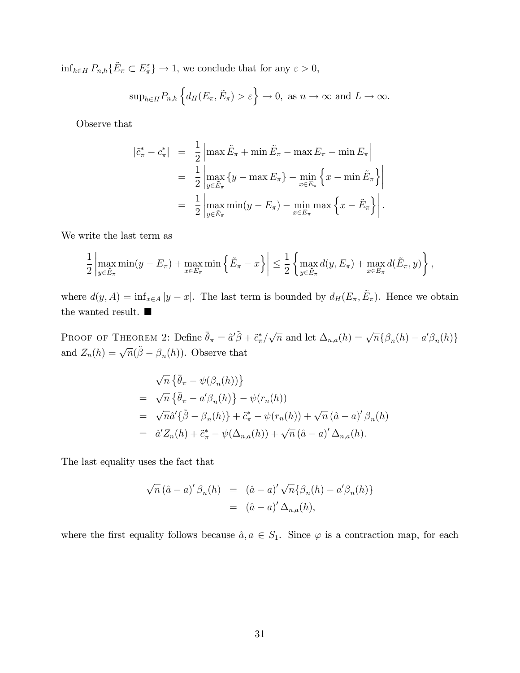$\inf_{h\in H} P_{n,h}\{\tilde{E}_{\pi} \subset E_{\pi}^{\varepsilon}\}\to 1$ , we conclude that for any  $\varepsilon > 0$ ,

$$
\sup_{h\in H} P_{n,h}\left\{d_H(E_{\pi}, \tilde{E}_{\pi}) > \varepsilon\right\} \to 0
$$
, as  $n \to \infty$  and  $L \to \infty$ .

Observe that

$$
\tilde{c}_{\pi}^{*} - c_{\pi}^{*} \rvert = \frac{1}{2} \left| \max \tilde{E}_{\pi} + \min \tilde{E}_{\pi} - \max E_{\pi} - \min E_{\pi} \right|
$$
\n
$$
= \frac{1}{2} \left| \max_{y \in \tilde{E}_{\pi}} \{ y - \max E_{\pi} \} - \min_{x \in E_{\pi}} \{ x - \min \tilde{E}_{\pi} \} \right|
$$
\n
$$
= \frac{1}{2} \left| \max_{y \in \tilde{E}_{\pi}} \min(y - E_{\pi}) - \min_{x \in E_{\pi}} \max \{ x - \tilde{E}_{\pi} \} \right|.
$$

We write the last term as

 $\overline{\phantom{a}}$ 

$$
\frac{1}{2}\left|\max_{y\in \tilde{E}_{\pi}}\min(y - E_{\pi}) + \max_{x\in E_{\pi}}\min\left\{\tilde{E}_{\pi} - x\right\}\right| \leq \frac{1}{2}\left\{\max_{y\in \tilde{E}_{\pi}}d(y, E_{\pi}) + \max_{x\in E_{\pi}}d(\tilde{E}_{\pi}, y)\right\},\,
$$

where  $d(y, A) = \inf_{x \in A} |y - x|$ . The last term is bounded by  $d_H(E_\pi, \tilde{E}_\pi)$ . Hence we obtain the wanted result.  $\blacksquare$ 

PROOF OF THEOREM 2: Define  $\bar{\theta}_{\pi} = \hat{a}'\tilde{\beta} + \tilde{c}^*_{\pi}/\sqrt{n}$  and let  $\Delta_{n,a}(h) = \sqrt{n} \{\beta_n(h) - a'\beta_n(h)\}\$ and  $Z_n(h) = \sqrt{n}(\tilde{\beta} - \beta_n(h))$ . Observe that

$$
\sqrt{n} \left\{ \bar{\theta}_{\pi} - \psi(\beta_n(h)) \right\}
$$
  
=  $\sqrt{n} \left\{ \bar{\theta}_{\pi} - a' \beta_n(h) \right\} - \psi(r_n(h))$   
=  $\sqrt{n} \hat{a}' \left\{ \tilde{\beta} - \beta_n(h) \right\} + \tilde{c}_{\pi}^* - \psi(r_n(h)) + \sqrt{n} (\hat{a} - a)' \beta_n(h)$   
=  $\hat{a}' Z_n(h) + \tilde{c}_{\pi}^* - \psi(\Delta_{n,a}(h)) + \sqrt{n} (\hat{a} - a)' \Delta_{n,a}(h).$ 

The last equality uses the fact that

$$
\sqrt{n} (\hat{a} - a)' \beta_n(h) = (\hat{a} - a)' \sqrt{n} {\beta_n(h) - a' \beta_n(h)}
$$
  
= 
$$
(\hat{a} - a)' \Delta_{n,a}(h),
$$

where the first equality follows because  $\hat{a}, a \in S_1$ . Since  $\varphi$  is a contraction map, for each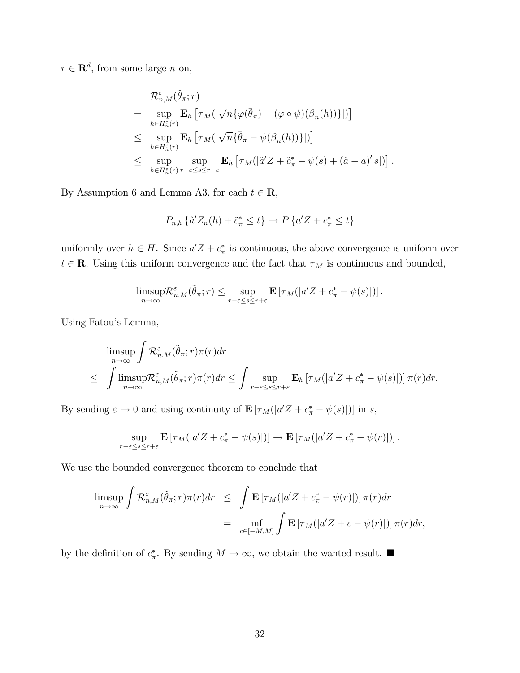$r \in \mathbf{R}^d$ , from some large n on,

$$
\mathcal{R}_{n,M}^{\varepsilon}(\tilde{\theta}_{\pi};r)
$$
\n
$$
= \sup_{h \in H_n^{\varepsilon}(r)} \mathbf{E}_h \left[ \tau_M(|\sqrt{n} \{ \varphi(\bar{\theta}_{\pi}) - (\varphi \circ \psi)(\beta_n(h)) \} | ) \right]
$$
\n
$$
\leq \sup_{h \in H_n^{\varepsilon}(r)} \mathbf{E}_h \left[ \tau_M(|\sqrt{n} \{ \bar{\theta}_{\pi} - \psi(\beta_n(h)) \} | ) \right]
$$
\n
$$
\leq \sup_{h \in H_n^{\varepsilon}(r)} \sup_{r-\varepsilon \leq s \leq r+\varepsilon} \mathbf{E}_h \left[ \tau_M(|\hat{a}'Z + \tilde{c}_{\pi}^* - \psi(s) + (\hat{a} - a)'s | ) \right]
$$

:

By Assumption 6 and Lemma A3, for each  $t \in \mathbb{R}$ ,

$$
P_{n,h}\left\{\hat{a}'Z_n(h)+\tilde{c}^*_\pi\leq t\right\}\to P\left\{a'Z+c^*_\pi\leq t\right\}
$$

uniformly over  $h \in H$ . Since  $a'Z + c^*_{\pi}$  is continuous, the above convergence is uniform over  $t \in {\bf R}.$  Using this uniform convergence and the fact that  $\tau_M$  is continuous and bounded,

$$
\limsup_{n\to\infty}\mathcal{R}_{n,M}^{\varepsilon}(\tilde{\theta}_{\pi};r)\leq \sup_{r-\varepsilon\leq s\leq r+\varepsilon}\mathbf{E}\left[\tau_M(|a'Z+c^*_{\pi}-\psi(s)|)\right].
$$

Using Fatouís Lemma,

$$
\limsup_{n \to \infty} \int \mathcal{R}_{n,M}^{\varepsilon}(\tilde{\theta}_{\pi};r)\pi(r)dr
$$
\n
$$
\leq \int \limsup_{n \to \infty} \mathcal{R}_{n,M}^{\varepsilon}(\tilde{\theta}_{\pi};r)\pi(r)dr \leq \int \sup_{r-\varepsilon \leq s \leq r+\varepsilon} \mathbf{E}_h \left[ \tau_M(|a'Z + c_{\pi}^* - \psi(s)|) \right] \pi(r)dr.
$$

By sending  $\varepsilon \to 0$  and using continuity of  $\mathbf{E} [\tau_M(|a'Z + c^*_{\pi} - \psi(s)|)]$  in s,

$$
\sup_{r-\varepsilon\leq s\leq r+\varepsilon} \mathbf{E}\left[\tau_M(|a'Z+c^*_{\pi}-\psi(s)|)\right] \to \mathbf{E}\left[\tau_M(|a'Z+c^*_{\pi}-\psi(r)|)\right].
$$

We use the bounded convergence theorem to conclude that

$$
\limsup_{n \to \infty} \int \mathcal{R}_{n,M}^{\varepsilon}(\tilde{\theta}_{\pi};r)\pi(r)dr \leq \int \mathbf{E} \left[ \tau_M(|a'Z + c_{\pi}^* - \psi(r)|) \right] \pi(r)dr
$$
  

$$
= \inf_{c \in [-M,M]} \int \mathbf{E} \left[ \tau_M(|a'Z + c - \psi(r)|) \right] \pi(r)dr,
$$

by the definition of  $c^*_{\pi}$ . By sending  $M \to \infty$ , we obtain the wanted result.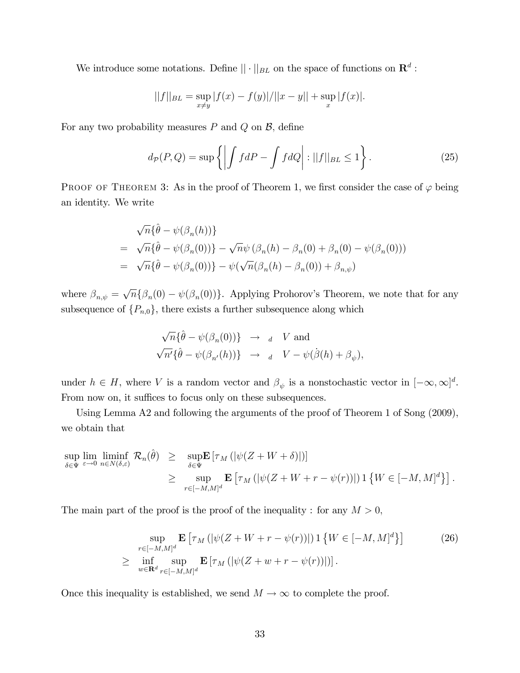We introduce some notations. Define  $|| \cdot ||_{BL}$  on the space of functions on  $\mathbb{R}^d$ :

$$
||f||_{BL} = \sup_{x \neq y} |f(x) - f(y)| / ||x - y|| + \sup_{x} |f(x)|.
$$

For any two probability measures  $P$  and  $Q$  on  $B$ , define

$$
d_{\mathcal{P}}(P,Q) = \sup \left\{ \left| \int f dP - \int f dQ \right| : ||f||_{BL} \le 1 \right\}.
$$
 (25)

PROOF OF THEOREM 3: As in the proof of Theorem 1, we first consider the case of  $\varphi$  being an identity. We write

$$
\sqrt{n} \{\hat{\theta} - \psi(\beta_n(h))\}
$$
  
=  $\sqrt{n} \{\hat{\theta} - \psi(\beta_n(0))\} - \sqrt{n} \psi(\beta_n(h) - \beta_n(0) + \beta_n(0) - \psi(\beta_n(0)))$   
=  $\sqrt{n} \{\hat{\theta} - \psi(\beta_n(0))\} - \psi(\sqrt{n}(\beta_n(h) - \beta_n(0)) + \beta_{n,\psi})$ 

where  $\beta_{n,\psi} = \sqrt{n} \{ \beta_n(0) - \psi(\beta_n(0)) \}$ . Applying Prohorov's Theorem, we note that for any subsequence of  $\{P_{n,0}\}\,$ , there exists a further subsequence along which

$$
\begin{aligned}\n\sqrt{n} \{\hat{\theta} - \psi(\beta_n(0))\} &\to a & V \text{ and} \\
\sqrt{n'} \{\hat{\theta} - \psi(\beta_{n'}(h))\} &\to a & V - \psi(\dot{\beta}(h) + \beta_{\psi}),\n\end{aligned}
$$

under  $h \in H$ , where V is a random vector and  $\beta_{\psi}$  is a nonstochastic vector in  $[-\infty, \infty]^d$ . From now on, it suffices to focus only on these subsequences.

Using Lemma A2 and following the arguments of the proof of Theorem 1 of Song (2009), we obtain that

$$
\sup_{\delta \in \Psi} \lim_{\varepsilon \to 0} \liminf_{n \in N(\delta,\varepsilon)} \mathcal{R}_n(\hat{\theta}) \ge \sup_{\delta \in \Psi} \mathbf{E} \left[ \tau_M \left( |\psi(Z + W + \delta)| \right) \right] \n\ge \sup_{r \in [-M,M]^d} \mathbf{E} \left[ \tau_M \left( |\psi(Z + W + r - \psi(r))| \right) \mathbf{1} \left\{ W \in [-M,M]^d \right\} \right].
$$

The main part of the proof is the proof of the inequality : for any  $M > 0$ ,

$$
\sup_{r \in [-M,M]^d} \mathbf{E} \left[ \tau_M \left( |\psi(Z + W + r - \psi(r))| \right) \mathbf{1} \left\{ W \in [-M,M]^d \right\} \right] \tag{26}
$$
\n
$$
\geq \inf_{w \in \mathbf{R}^d} \sup_{r \in [-M,M]^d} \mathbf{E} \left[ \tau_M \left( |\psi(Z + w + r - \psi(r))| \right) \right].
$$

Once this inequality is established, we send  $M \to \infty$  to complete the proof.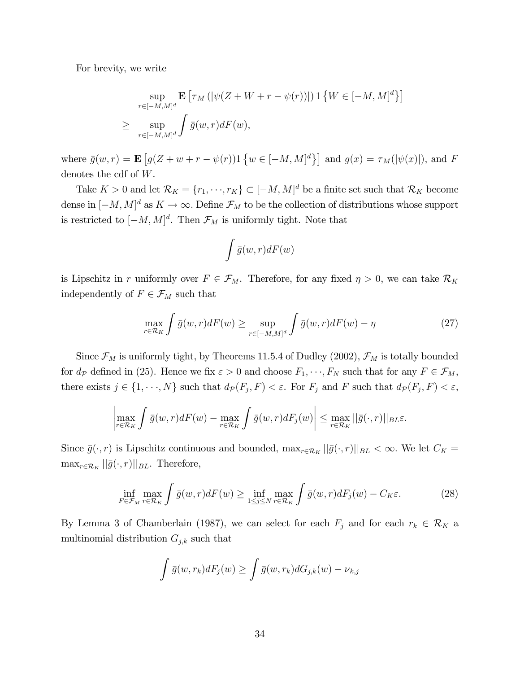For brevity, we write

$$
\sup_{r \in [-M,M]^d} \mathbf{E} \left[ \tau_M \left( |\psi(Z+W+r-\psi(r))| \right) \mathbf{1} \left\{ W \in [-M,M]^d \right\} \right]
$$
  

$$
\geq \sup_{r \in [-M,M]^d} \int \bar{g}(w,r) dF(w),
$$

where  $\bar{g}(w,r) = \mathbf{E}\left[g(Z+w+r-\psi(r))\mathbb{1}\left\{w \in [-M,M]^d\right\}\right]$  and  $g(x) = \tau_M(|\psi(x)|)$ , and F denotes the cdf of W.

Take  $K > 0$  and let  $\mathcal{R}_K = \{r_1, \dots, r_K\} \subset [-M, M]^d$  be a finite set such that  $\mathcal{R}_K$  become dense in  $[-M, M]^d$  as  $K \to \infty$ . Define  $\mathcal{F}_M$  to be the collection of distributions whose support is restricted to  $[-M, M]^d$ . Then  $\mathcal{F}_M$  is uniformly tight. Note that

$$
\int \bar{g}(w,r)dF(w)
$$

is Lipschitz in r uniformly over  $F \in \mathcal{F}_M$ . Therefore, for any fixed  $\eta > 0$ , we can take  $\mathcal{R}_K$ independently of  $F\in \mathcal{F}_M$  such that

$$
\max_{r \in \mathcal{R}_K} \int \bar{g}(w, r) dF(w) \ge \sup_{r \in [-M, M]^d} \int \bar{g}(w, r) dF(w) - \eta \tag{27}
$$

Since  $\mathcal{F}_M$  is uniformly tight, by Theorems 11.5.4 of Dudley (2002),  $\mathcal{F}_M$  is totally bounded for  $d_p$  defined in (25). Hence we fix  $\varepsilon > 0$  and choose  $F_1, \dots, F_N$  such that for any  $F \in \mathcal{F}_M$ , there exists  $j \in \{1, \dots, N\}$  such that  $d_{\mathcal{P}}(F_j, F) < \varepsilon$ . For  $F_j$  and F such that  $d_{\mathcal{P}}(F_j, F) < \varepsilon$ ,

$$
\left|\max_{r\in\mathcal{R}_K}\int\bar{g}(w,r)dF(w)-\max_{r\in\mathcal{R}_K}\int\bar{g}(w,r)dF_j(w)\right|\leq \max_{r\in\mathcal{R}_K}||\bar{g}(\cdot,r)||_{BL}\varepsilon.
$$

Since  $\bar{g}(\cdot, r)$  is Lipschitz continuous and bounded,  $\max_{r \in \mathcal{R}_K} ||\bar{g}(\cdot, r)||_{BL} < \infty$ . We let  $C_K$  =  $\max_{r \in \mathcal{R}_K} ||\bar{g}(\cdot, r)||_{BL}$ . Therefore,

$$
\inf_{F \in \mathcal{F}_M} \max_{r \in \mathcal{R}_K} \int \bar{g}(w, r) dF(w) \ge \inf_{1 \le j \le N} \max_{r \in \mathcal{R}_K} \int \bar{g}(w, r) dF_j(w) - C_K \varepsilon. \tag{28}
$$

By Lemma 3 of Chamberlain (1987), we can select for each  $F_j$  and for each  $r_k \in \mathcal{R}_K$  a multinomial distribution  $G_{j,k}$  such that

$$
\int \bar{g}(w,r_k)dF_j(w) \ge \int \bar{g}(w,r_k)dG_{j,k}(w) - \nu_{k,j}
$$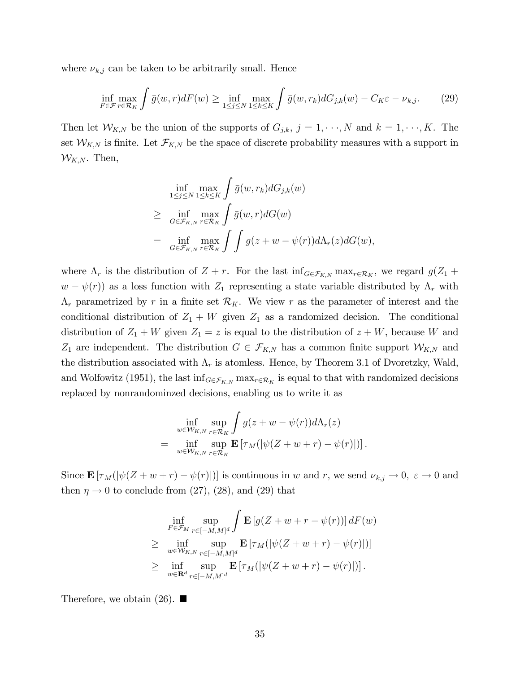where  $\nu_{k,j}$  can be taken to be arbitrarily small. Hence

$$
\inf_{F \in \mathcal{F}} \max_{r \in \mathcal{R}_K} \int \bar{g}(w, r) dF(w) \ge \inf_{1 \le j \le N} \max_{1 \le k \le K} \int \bar{g}(w, r_k) dG_{j,k}(w) - C_K \varepsilon - \nu_{k,j}.
$$
 (29)

Then let  $W_{K,N}$  be the union of the supports of  $G_{j,k}$ ,  $j = 1, \dots, N$  and  $k = 1, \dots, K$ . The set  $W_{K,N}$  is finite. Let  $\mathcal{F}_{K,N}$  be the space of discrete probability measures with a support in  $W_{K,N}$ . Then,

$$
\inf_{1 \leq j \leq N} \max_{1 \leq k \leq K} \int \bar{g}(w, r_k) dG_{j,k}(w)
$$
\n
$$
\geq \inf_{G \in \mathcal{F}_{K,N}} \max_{r \in \mathcal{R}_K} \int \bar{g}(w, r) dG(w)
$$
\n
$$
= \inf_{G \in \mathcal{F}_{K,N}} \max_{r \in \mathcal{R}_K} \int \int g(z + w - \psi(r)) d\Lambda_r(z) dG(w),
$$

where  $\Lambda_r$  is the distribution of  $Z + r$ . For the last  $\inf_{G \in \mathcal{F}_{K,N}} \max_{r \in \mathcal{R}_K}$ , we regard  $g(Z_1 +$  $(w - \psi(r))$  as a loss function with  $Z_1$  representing a state variable distributed by  $\Lambda_r$  with  $\Lambda_r$  parametrized by r in a finite set  $\mathcal{R}_K$ . We view r as the parameter of interest and the conditional distribution of  $Z_1 + W$  given  $Z_1$  as a randomized decision. The conditional distribution of  $Z_1 + W$  given  $Z_1 = z$  is equal to the distribution of  $z + W$ , because W and  $Z_1$  are independent. The distribution  $G \in \mathcal{F}_{K,N}$  has a common finite support  $\mathcal{W}_{K,N}$  and the distribution associated with  $\Lambda_r$  is atomless. Hence, by Theorem 3.1 of Dvoretzky, Wald, and Wolfowitz (1951), the last  $\inf_{G \in \mathcal{F}_{K,N}} \max_{r \in \mathcal{R}_K}$  is equal to that with randomized decisions replaced by nonrandominzed decisions, enabling us to write it as

$$
\inf_{w \in \mathcal{W}_{K,N}} \sup_{r \in \mathcal{R}_K} \int g(z+w-\psi(r)) d\Lambda_r(z) \n= \inf_{w \in \mathcal{W}_{K,N}} \sup_{r \in \mathcal{R}_K} \mathbf{E} \left[ \tau_M(|\psi(Z+w+r)-\psi(r)|) \right].
$$

Since  $\mathbf{E} [\tau_M(|\psi(Z + w + r) - \psi(r)|)]$  is continuous in w and r, we send  $\nu_{k,j} \to 0$ ,  $\varepsilon \to 0$  and then  $\eta \rightarrow 0$  to conclude from (27), (28), and (29) that

$$
\inf_{F \in \mathcal{F}_M} \sup_{r \in [-M,M]^d} \int \mathbf{E} \left[ g(Z+w+r-\psi(r)) \right] dF(w)
$$
\n
$$
\geq \inf_{w \in \mathcal{W}_{K,N}} \sup_{r \in [-M,M]^d} \mathbf{E} \left[ \tau_M(|\psi(Z+w+r)-\psi(r)|) \right]
$$
\n
$$
\geq \inf_{w \in \mathbf{R}^d} \sup_{r \in [-M,M]^d} \mathbf{E} \left[ \tau_M(|\psi(Z+w+r)-\psi(r)|) \right].
$$

Therefore, we obtain  $(26)$ .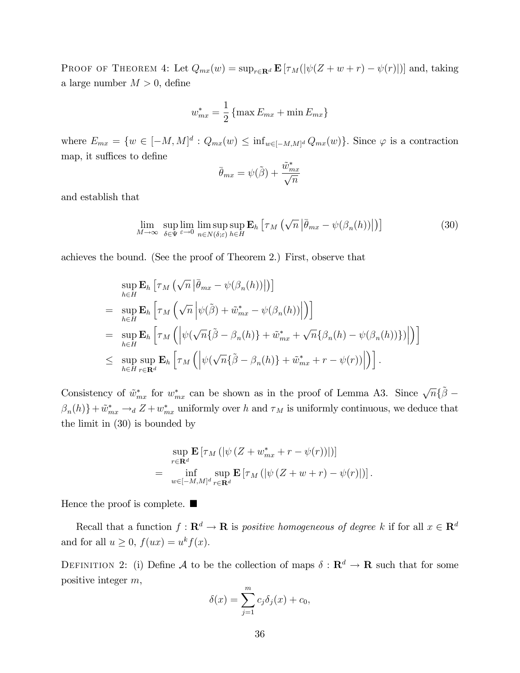PROOF OF THEOREM 4: Let  $Q_{mx}(w) = \sup_{r \in \mathbf{R}^d} \mathbf{E} [\tau_M(|\psi(Z + w + r) - \psi(r)|)]$  and, taking a large number  $M > 0$ , define

$$
w_{mx}^* = \frac{1}{2} \{ \max E_{mx} + \min E_{mx} \}
$$

where  $E_{mx} = \{w \in [-M, M]^d : Q_{mx}(w) \leq \inf_{w \in [-M, M]^d} Q_{mx}(w)\}\.$  Since  $\varphi$  is a contraction map, it suffices to define

$$
\bar{\theta}_{mx} = \psi(\tilde{\beta}) + \frac{\tilde{w}_{mx}^*}{\sqrt{n}}
$$

and establish that

$$
\lim_{M \to \infty} \sup_{\delta \in \Psi} \lim_{\varepsilon \to 0} \sup_{n \in N(\delta; \varepsilon)} \mathbf{E}_h \left[ \tau_M \left( \sqrt{n} \left| \bar{\theta}_{mx} - \psi(\beta_n(h)) \right| \right) \right] \tag{30}
$$

achieves the bound. (See the proof of Theorem 2.) First, observe that

$$
\sup_{h\in H} \mathbf{E}_h \left[ \tau_M \left( \sqrt{n} \left| \bar{\theta}_{mx} - \psi(\beta_n(h)) \right| \right) \right]
$$
\n
$$
= \sup_{h\in H} \mathbf{E}_h \left[ \tau_M \left( \sqrt{n} \left| \psi(\tilde{\beta}) + \tilde{w}_{mx}^* - \psi(\beta_n(h)) \right| \right) \right]
$$
\n
$$
= \sup_{h\in H} \mathbf{E}_h \left[ \tau_M \left( \left| \psi(\sqrt{n} \{ \tilde{\beta} - \beta_n(h) \} + \tilde{w}_{mx}^* + \sqrt{n} \{ \beta_n(h) - \psi(\beta_n(h)) \} \right) \right| \right)
$$
\n
$$
\leq \sup_{h\in H} \sup_{r\in \mathbf{R}^d} \mathbf{E}_h \left[ \tau_M \left( \left| \psi(\sqrt{n} \{ \tilde{\beta} - \beta_n(h) \} + \tilde{w}_{mx}^* + r - \psi(r)) \right| \right) \right].
$$

Consistency of  $\tilde{w}_{mx}^*$  for  $w_{mx}^*$  can be shown as in the proof of Lemma A3. Since  $\sqrt{n} \{\tilde{\beta} - \beta\}$  $\{\beta_n(h)\} + \tilde{w}_{mx}^* \rightarrow_d Z + w_{mx}^*$  uniformly over h and  $\tau_M$  is uniformly continuous, we deduce that the limit in (30) is bounded by

$$
\sup_{r \in \mathbf{R}^d} \mathbf{E} \left[ \tau_M \left( \left| \psi \left( Z + w_{mx}^* + r - \psi(r) \right) \right| \right) \right]
$$
\n
$$
= \inf_{w \in [-M,M]^d} \sup_{r \in \mathbf{R}^d} \mathbf{E} \left[ \tau_M \left( \left| \psi \left( Z + w + r \right) - \psi(r) \right| \right) \right].
$$

Hence the proof is complete.  $\blacksquare$ 

Recall that a function  $f: \mathbf{R}^d \to \mathbf{R}$  is positive homogeneous of degree k if for all  $x \in \mathbf{R}^d$ and for all  $u \geq 0$ ,  $f(ux) = u^k f(x)$ .

DEFINITION 2: (i) Define A to be the collection of maps  $\delta : \mathbf{R}^d \to \mathbf{R}$  such that for some positive integer m,

$$
\delta(x) = \sum_{j=1}^{m} c_j \delta_j(x) + c_0,
$$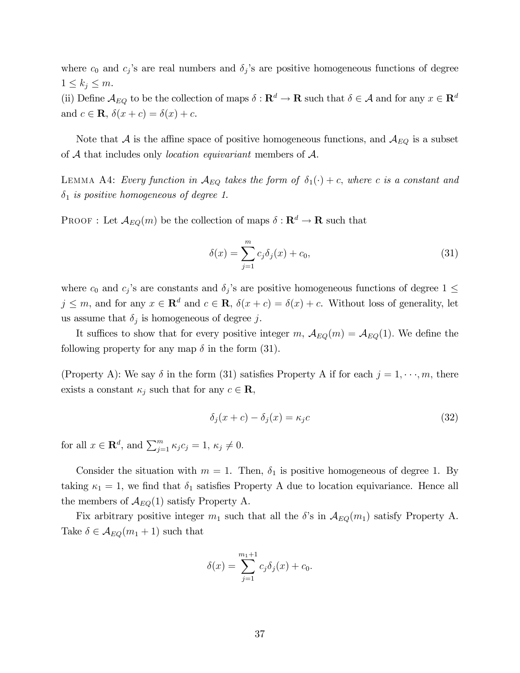where  $c_0$  and  $c_j$ 's are real numbers and  $\delta_j$ 's are positive homogeneous functions of degree  $1 \leq k_j \leq m$ .

(ii) Define  $\mathcal{A}_{EQ}$  to be the collection of maps  $\delta : \mathbf{R}^d \to \mathbf{R}$  such that  $\delta \in \mathcal{A}$  and for any  $x \in \mathbf{R}^d$ and  $c \in \mathbf{R}$ ,  $\delta(x + c) = \delta(x) + c$ .

Note that  $A$  is the affine space of positive homogeneous functions, and  $A_{EQ}$  is a subset of  $A$  that includes only *location equivariant* members of  $A$ .

LEMMA A4: Every function in  $\mathcal{A}_{EQ}$  takes the form of  $\delta_1(\cdot) + c$ , where c is a constant and  $\delta_1$  is positive homogeneous of degree 1.

PROOF : Let  $\mathcal{A}_{EQ}(m)$  be the collection of maps  $\delta : \mathbf{R}^d \to \mathbf{R}$  such that

$$
\delta(x) = \sum_{j=1}^{m} c_j \delta_j(x) + c_0,
$$
\n(31)

where  $c_0$  and  $c_j$ 's are constants and  $\delta_j$ 's are positive homogeneous functions of degree  $1 \leq$  $j \leq m$ , and for any  $x \in \mathbf{R}^d$  and  $c \in \mathbf{R}$ ,  $\delta(x + c) = \delta(x) + c$ . Without loss of generality, let us assume that  $\delta_j$  is homogeneous of degree j.

It suffices to show that for every positive integer m,  $A_{EQ}(m) = A_{EQ}(1)$ . We define the following property for any map  $\delta$  in the form (31).

(Property A): We say  $\delta$  in the form (31) satisfies Property A if for each  $j = 1, \dots, m$ , there exists a constant  $\kappa_j$  such that for any  $c \in \mathbf{R}$ ,

$$
\delta_j(x+c) - \delta_j(x) = \kappa_j c \tag{32}
$$

for all  $x \in \mathbf{R}^d$ , and  $\sum_{j=1}^m \kappa_j c_j = 1, \, \kappa_j \neq 0.$ 

Consider the situation with  $m = 1$ . Then,  $\delta_1$  is positive homogeneous of degree 1. By taking  $\kappa_1 = 1$ , we find that  $\delta_1$  satisfies Property A due to location equivariance. Hence all the members of  $\mathcal{A}_{EQ}(1)$  satisfy Property A.

Fix arbitrary positive integer  $m_1$  such that all the  $\delta$ 's in  $\mathcal{A}_{EQ}(m_1)$  satisfy Property A. Take  $\delta \in \mathcal{A}_{EQ}(m_1+1)$  such that

$$
\delta(x) = \sum_{j=1}^{m_1+1} c_j \delta_j(x) + c_0.
$$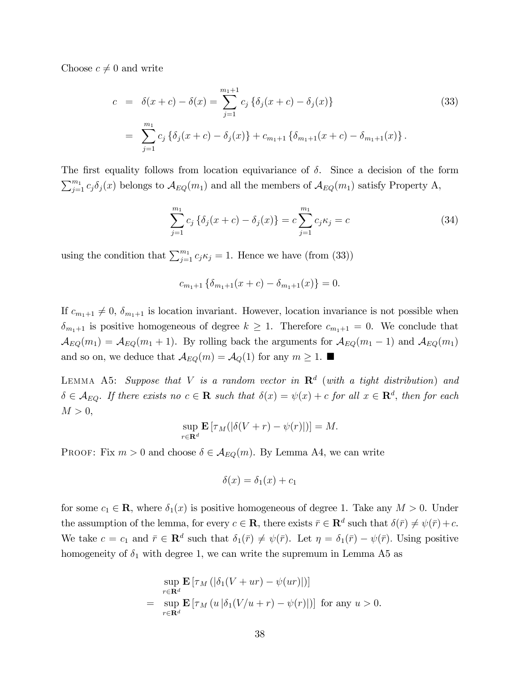Choose  $c \neq 0$  and write

$$
c = \delta(x+c) - \delta(x) = \sum_{j=1}^{m_1+1} c_j \{\delta_j(x+c) - \delta_j(x)\}
$$
(33)  

$$
= \sum_{j=1}^{m_1} c_j \{\delta_j(x+c) - \delta_j(x)\} + c_{m_1+1} \{\delta_{m_1+1}(x+c) - \delta_{m_1+1}(x)\}.
$$

The first equality follows from location equivariance of  $\delta$ . Since a decision of the form  $\sum_{j=1}^{m_1} c_j \delta_j(x)$  belongs to  $\mathcal{A}_{EQ}(m_1)$  and all the members of  $\mathcal{A}_{EQ}(m_1)$  satisfy Property A,

$$
\sum_{j=1}^{m_1} c_j \left\{ \delta_j(x+c) - \delta_j(x) \right\} = c \sum_{j=1}^{m_1} c_j \kappa_j = c \tag{34}
$$

using the condition that  $\sum_{j=1}^{m_1} c_j \kappa_j = 1$ . Hence we have (from (33))

$$
c_{m_1+1}\left\{\delta_{m_1+1}(x+c)-\delta_{m_1+1}(x)\right\}=0.
$$

If  $c_{m_1+1} \neq 0$ ,  $\delta_{m_1+1}$  is location invariant. However, location invariance is not possible when  $\delta_{m_1+1}$  is positive homogeneous of degree  $k \geq 1$ . Therefore  $c_{m_1+1} = 0$ . We conclude that  $\mathcal{A}_{EQ}(m_1) = \mathcal{A}_{EQ}(m_1 + 1)$ . By rolling back the arguments for  $\mathcal{A}_{EQ}(m_1 - 1)$  and  $\mathcal{A}_{EQ}(m_1)$ and so on, we deduce that  $\mathcal{A}_{EQ}(m) = \mathcal{A}_{Q}(1)$  for any  $m \geq 1$ .

LEMMA A5: Suppose that V is a random vector in  $\mathbf{R}^d$  (with a tight distribution) and  $\delta \in \mathcal{A}_{EQ}$ . If there exists no  $c \in \mathbf{R}$  such that  $\delta(x) = \psi(x) + c$  for all  $x \in \mathbf{R}^d$ , then for each  $M > 0$ ,

$$
\sup_{r\in\mathbf{R}^d} \mathbf{E}\left[\tau_M(|\delta(V+r)-\psi(r)|)\right] = M.
$$

PROOF: Fix  $m > 0$  and choose  $\delta \in \mathcal{A}_{EQ}(m)$ . By Lemma A4, we can write

$$
\delta(x) = \delta_1(x) + c_1
$$

for some  $c_1 \in \mathbf{R}$ , where  $\delta_1(x)$  is positive homogeneous of degree 1. Take any  $M > 0$ . Under the assumption of the lemma, for every  $c \in \mathbf{R}$ , there exists  $\bar{r} \in \mathbf{R}^d$  such that  $\delta(\bar{r}) \neq \psi(\bar{r}) + c$ . We take  $c = c_1$  and  $\bar{r} \in \mathbb{R}^d$  such that  $\delta_1(\bar{r}) \neq \psi(\bar{r})$ . Let  $\eta = \delta_1(\bar{r}) - \psi(\bar{r})$ . Using positive homogeneity of  $\delta_1$  with degree 1, we can write the supremum in Lemma A5 as

$$
\sup_{r \in \mathbf{R}^d} \mathbf{E} \left[ \tau_M \left( |\delta_1(V + ur) - \psi(ur)| \right) \right]
$$
\n
$$
= \sup_{r \in \mathbf{R}^d} \mathbf{E} \left[ \tau_M \left( u \left| \delta_1(V/u + r) - \psi(r) \right| \right) \right] \text{ for any } u > 0.
$$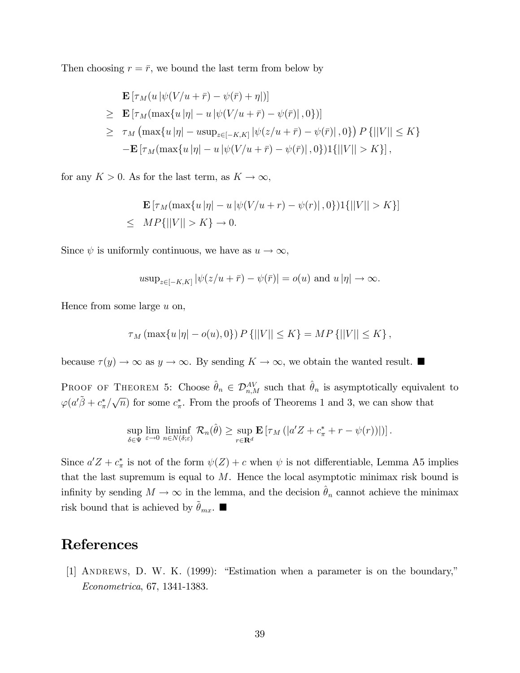Then choosing  $r = \bar{r}$ , we bound the last term from below by

$$
\mathbf{E} \left[ \tau_M(u | \psi(V/u + \bar{r}) - \psi(\bar{r}) + \eta |) \right]
$$
\n
$$
\geq \mathbf{E} \left[ \tau_M(\max\{u | \eta| - u | \psi(V/u + \bar{r}) - \psi(\bar{r})|, 0\}) \right]
$$
\n
$$
\geq \tau_M(\max\{u | \eta| - u \sup_{z \in [-K, K]} |\psi(z/u + \bar{r}) - \psi(\bar{r})|, 0\}) P\{||V|| \leq K\}
$$
\n
$$
- \mathbf{E} \left[ \tau_M(\max\{u | \eta| - u | \psi(V/u + \bar{r}) - \psi(\bar{r})|, 0\}) \right] \{||V|| > K\} \right],
$$

for any  $K > 0$ . As for the last term, as  $K \to \infty$ ,

$$
\mathbf{E} \left[ \tau_M(\max\{u \, |\eta| - u \, |\psi(V/u + r) - \psi(r)|\, , 0\}) \mathbf{1}\{||V|| > K\} \right]
$$
\n
$$
\leq \quad MP\{||V|| > K\} \to 0.
$$

Since  $\psi$  is uniformly continuous, we have as  $u \to \infty$ ,

$$
u \sup_{z \in [-K,K]} |\psi(z/u + \bar{r}) - \psi(\bar{r})| = o(u) \text{ and } u|\eta| \to \infty.
$$

Hence from some large  $u$  on,

$$
\tau_M(\max\{u|\eta| - o(u), 0\}) P\{||V|| \le K\} = MP\{||V|| \le K\},\
$$

because  $\tau(y) \to \infty$  as  $y \to \infty$ . By sending  $K \to \infty$ , we obtain the wanted result.

PROOF OF THEOREM 5: Choose  $\hat{\theta}_n \in \mathcal{D}_{n,M}^{AV}$  such that  $\hat{\theta}_n$  is asymptotically equivalent to  $\varphi(a'\tilde{\beta}+c^*_{\pi}/\sqrt{n})$  for some  $c^*_{\pi}$ . From the proofs of Theorems 1 and 3, we can show that

$$
\sup_{\delta \in \Psi} \lim_{\varepsilon \to 0} \liminf_{n \in N(\delta; \varepsilon)} \mathcal{R}_n(\hat{\theta}) \ge \sup_{r \in \mathbf{R}^d} \mathbf{E} \left[ \tau_M \left( |a'Z + c^*_{\pi} + r - \psi(r) \right) | \right) \right].
$$

Since  $a'Z + c^*_{\pi}$  is not of the form  $\psi(Z) + c$  when  $\psi$  is not differentiable, Lemma A5 implies that the last supremum is equal to  $M$ . Hence the local asymptotic minimax risk bound is infinity by sending  $M \to \infty$  in the lemma, and the decision  $\hat{\theta}_n$  cannot achieve the minimax risk bound that is achieved by  $\hat{\theta}_{mx}$ .

# References

[1] ANDREWS, D. W. K.  $(1999)$ : "Estimation when a parameter is on the boundary," Econometrica, 67, 1341-1383.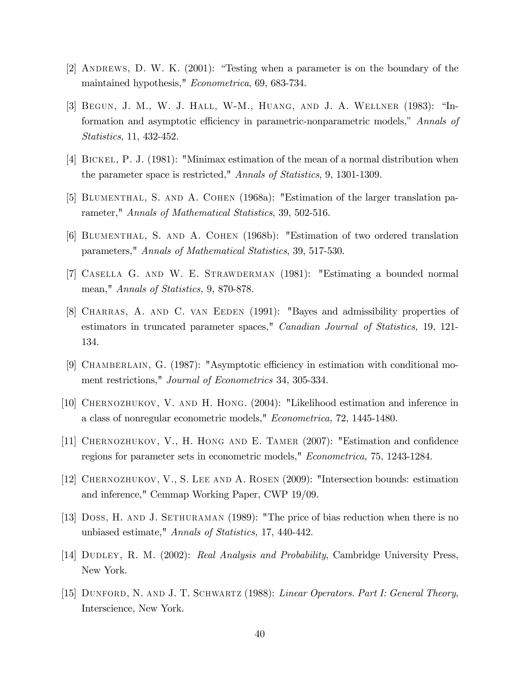- [2] ANDREWS, D. W. K.  $(2001)$ : "Testing when a parameter is on the boundary of the maintained hypothesis," Econometrica, 69, 683-734.
- [3] BEGUN, J. M., W. J. HALL, W-M., HUANG, AND J. A. WELLNER (1983): "Information and asymptotic efficiency in parametric-nonparametric models," Annals of Statistics, 11, 432-452.
- [4] Bickel, P. J. (1981): "Minimax estimation of the mean of a normal distribution when the parameter space is restricted," Annals of Statistics, 9, 1301-1309.
- [5] Blumenthal, S. and A. Cohen (1968a): "Estimation of the larger translation parameter," Annals of Mathematical Statistics, 39, 502-516.
- [6] Blumenthal, S. and A. Cohen (1968b): "Estimation of two ordered translation parameters," Annals of Mathematical Statistics, 39, 517-530.
- [7] Casella G. and W. E. Strawderman (1981): "Estimating a bounded normal mean," Annals of Statistics, 9, 870-878.
- [8] Charras, A. and C. van Eeden (1991): "Bayes and admissibility properties of estimators in truncated parameter spaces," *Canadian Journal of Statistics*, 19, 121-134.
- [9] CHAMBERLAIN, G. (1987): "Asymptotic efficiency in estimation with conditional moment restrictions," Journal of Econometrics 34, 305-334.
- [10] Chernozhukov, V. and H. Hong. (2004): "Likelihood estimation and inference in a class of nonregular econometric models," Econometrica, 72, 1445-1480.
- [11] CHERNOZHUKOV, V., H. HONG AND E. TAMER (2007): "Estimation and confidence regions for parameter sets in econometric models," Econometrica, 75, 1243-1284.
- [12] Chernozhukov, V., S. Lee and A. Rosen (2009): "Intersection bounds: estimation and inference," Cemmap Working Paper, CWP 19/09.
- [13] Doss, H. and J. Sethuraman (1989): "The price of bias reduction when there is no unbiased estimate," Annals of Statistics, 17, 440-442.
- [14] DUDLEY, R. M. (2002): Real Analysis and Probability, Cambridge University Press, New York.
- [15] DUNFORD, N. AND J. T. SCHWARTZ (1988): Linear Operators. Part I: General Theory, Interscience, New York.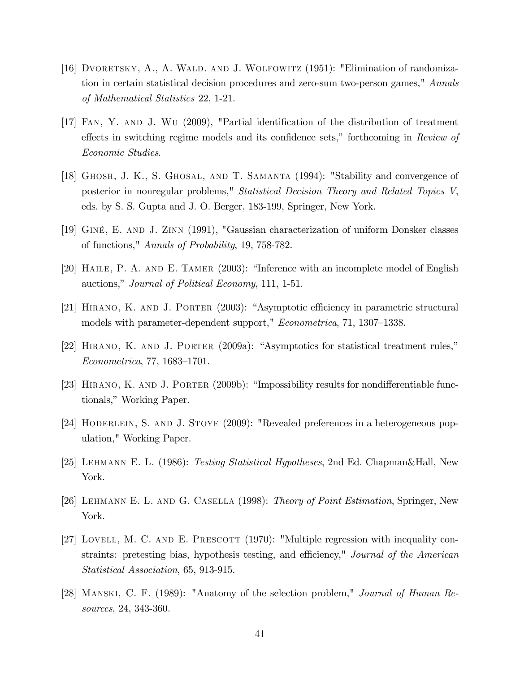- [16] DVORETSKY, A., A. WALD. AND J. WOLFOWITZ (1951): "Elimination of randomization in certain statistical decision procedures and zero-sum two-person games," Annals of Mathematical Statistics 22, 1-21.
- [17] FAN, Y. AND J. WU (2009), "Partial identification of the distribution of treatment effects in switching regime models and its confidence sets," forthcoming in Review of Economic Studies.
- [18] Ghosh, J. K., S. Ghosal, and T. Samanta (1994): "Stability and convergence of posterior in nonregular problems," Statistical Decision Theory and Related Topics V, eds. by S. S. Gupta and J. O. Berger, 183-199, Springer, New York.
- [19] GinÈ, E. and J. Zinn (1991), "Gaussian characterization of uniform Donsker classes of functions," Annals of Probability, 19, 758-782.
- [20] HAILE, P. A. AND E. TAMER  $(2003)$ : "Inference with an incomplete model of English auctions," Journal of Political Economy, 111, 1-51.
- [21] HIRANO, K. AND J. PORTER (2003): "Asymptotic efficiency in parametric structural models with parameter-dependent support," *Econometrica*, 71, 1307–1338.
- $[22]$  HIRANO, K. AND J. PORTER  $(2009a)$ : "Asymptotics for statistical treatment rules,"  $Econometrica, 77, 1683–1701.$
- [23] HIRANO, K. AND J. PORTER  $(2009b)$ : "Impossibility results for nondifferentiable functionals," Working Paper.
- [24] Hoderlein, S. and J. Stoye (2009): "Revealed preferences in a heterogeneous population," Working Paper.
- [25] Lehmann E. L. (1986): Testing Statistical Hypotheses, 2nd Ed. Chapman&Hall, New York.
- [26] Lehmann E. L. and G. Casella (1998): Theory of Point Estimation, Springer, New York.
- [27] LOVELL, M. C. AND E. PRESCOTT  $(1970)$ : "Multiple regression with inequality constraints: pretesting bias, hypothesis testing, and efficiency," Journal of the American Statistical Association, 65, 913-915.
- [28] Manski, C. F. (1989): "Anatomy of the selection problem," Journal of Human Resources, 24, 343-360.